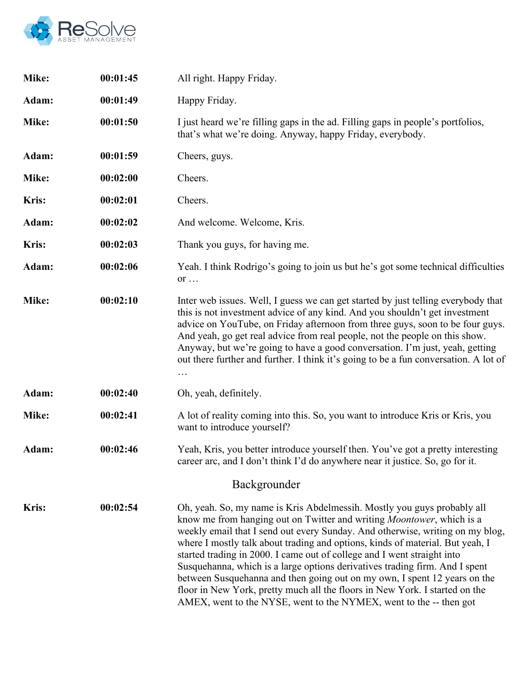

| Mike:        | 00:01:45 | All right. Happy Friday.                                                                                                                                                                                                                                                                                                                                                                                                                                                                                                                                                                                                                                                                                               |
|--------------|----------|------------------------------------------------------------------------------------------------------------------------------------------------------------------------------------------------------------------------------------------------------------------------------------------------------------------------------------------------------------------------------------------------------------------------------------------------------------------------------------------------------------------------------------------------------------------------------------------------------------------------------------------------------------------------------------------------------------------------|
| Adam:        | 00:01:49 | Happy Friday.                                                                                                                                                                                                                                                                                                                                                                                                                                                                                                                                                                                                                                                                                                          |
| Mike:        | 00:01:50 | I just heard we're filling gaps in the ad. Filling gaps in people's portfolios,<br>that's what we're doing. Anyway, happy Friday, everybody.                                                                                                                                                                                                                                                                                                                                                                                                                                                                                                                                                                           |
| Adam:        | 00:01:59 | Cheers, guys.                                                                                                                                                                                                                                                                                                                                                                                                                                                                                                                                                                                                                                                                                                          |
| Mike:        | 00:02:00 | Cheers.                                                                                                                                                                                                                                                                                                                                                                                                                                                                                                                                                                                                                                                                                                                |
| <b>Kris:</b> | 00:02:01 | Cheers.                                                                                                                                                                                                                                                                                                                                                                                                                                                                                                                                                                                                                                                                                                                |
| Adam:        | 00:02:02 | And welcome. Welcome, Kris.                                                                                                                                                                                                                                                                                                                                                                                                                                                                                                                                                                                                                                                                                            |
| <b>Kris:</b> | 00:02:03 | Thank you guys, for having me.                                                                                                                                                                                                                                                                                                                                                                                                                                                                                                                                                                                                                                                                                         |
| Adam:        | 00:02:06 | Yeah. I think Rodrigo's going to join us but he's got some technical difficulties<br>or $\dots$                                                                                                                                                                                                                                                                                                                                                                                                                                                                                                                                                                                                                        |
| Mike:        | 00:02:10 | Inter web issues. Well, I guess we can get started by just telling everybody that<br>this is not investment advice of any kind. And you shouldn't get investment<br>advice on YouTube, on Friday afternoon from three guys, soon to be four guys.<br>And yeah, go get real advice from real people, not the people on this show.<br>Anyway, but we're going to have a good conversation. I'm just, yeah, getting<br>out there further and further. I think it's going to be a fun conversation. A lot of                                                                                                                                                                                                               |
| Adam:        | 00:02:40 | Oh, yeah, definitely.                                                                                                                                                                                                                                                                                                                                                                                                                                                                                                                                                                                                                                                                                                  |
| Mike:        | 00:02:41 | A lot of reality coming into this. So, you want to introduce Kris or Kris, you<br>want to introduce yourself?                                                                                                                                                                                                                                                                                                                                                                                                                                                                                                                                                                                                          |
| Adam:        | 00:02:46 | Yeah, Kris, you better introduce yourself then. You've got a pretty interesting<br>career arc, and I don't think I'd do anywhere near it justice. So, go for it.                                                                                                                                                                                                                                                                                                                                                                                                                                                                                                                                                       |
|              |          | Backgrounder                                                                                                                                                                                                                                                                                                                                                                                                                                                                                                                                                                                                                                                                                                           |
| <b>Kris:</b> | 00:02:54 | Oh, yeah. So, my name is Kris Abdelmessih. Mostly you guys probably all<br>know me from hanging out on Twitter and writing <i>Moontower</i> , which is a<br>weekly email that I send out every Sunday. And otherwise, writing on my blog,<br>where I mostly talk about trading and options, kinds of material. But yeah, I<br>started trading in 2000. I came out of college and I went straight into<br>Susquehanna, which is a large options derivatives trading firm. And I spent<br>between Susquehanna and then going out on my own, I spent 12 years on the<br>floor in New York, pretty much all the floors in New York. I started on the<br>AMEX, went to the NYSE, went to the NYMEX, went to the -- then got |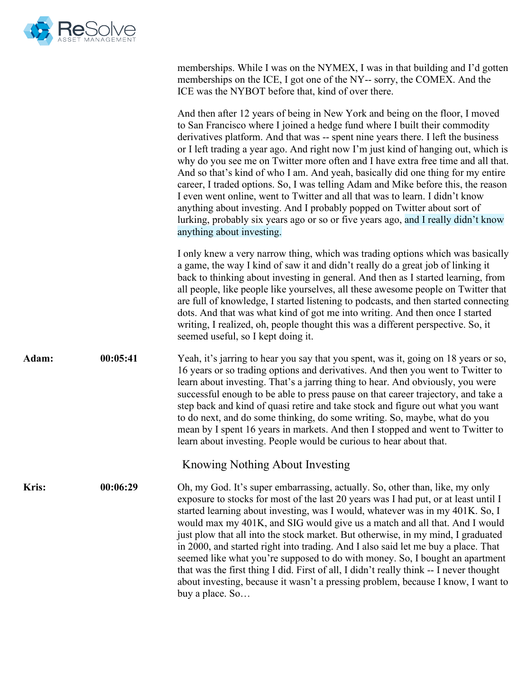

memberships. While I was on the NYMEX, I was in that building and I'd gotten memberships on the ICE, I got one of the NY-- sorry, the COMEX. And the ICE was the NYBOT before that, kind of over there.

And then after 12 years of being in New York and being on the floor, I moved to San Francisco where I joined a hedge fund where I built their commodity derivatives platform. And that was -- spent nine years there. I left the business or I left trading a year ago. And right now I'm just kind of hanging out, which is why do you see me on Twitter more often and I have extra free time and all that. And so that's kind of who I am. And yeah, basically did one thing for my entire career, I traded options. So, I was telling Adam and Mike before this, the reason I even went online, went to Twitter and all that was to learn. I didn't know anything about investing. And I probably popped on Twitter about sort of lurking, probably six years ago or so or five years ago, and I really didn't know anything about investing.

I only knew a very narrow thing, which was trading options which was basically a game, the way I kind of saw it and didn't really do a great job of linking it back to thinking about investing in general. And then as I started learning, from all people, like people like yourselves, all these awesome people on Twitter that are full of knowledge, I started listening to podcasts, and then started connecting dots. And that was what kind of got me into writing. And then once I started writing, I realized, oh, people thought this was a different perspective. So, it seemed useful, so I kept doing it.

**Adam: 00:05:41** Yeah, it's jarring to hear you say that you spent, was it, going on 18 years or so, 16 years or so trading options and derivatives. And then you went to Twitter to learn about investing. That's a jarring thing to hear. And obviously, you were successful enough to be able to press pause on that career trajectory, and take a step back and kind of quasi retire and take stock and figure out what you want to do next, and do some thinking, do some writing. So, maybe, what do you mean by I spent 16 years in markets. And then I stopped and went to Twitter to learn about investing. People would be curious to hear about that.

Knowing Nothing About Investing

**Kris: 00:06:29** Oh, my God. It's super embarrassing, actually. So, other than, like, my only exposure to stocks for most of the last 20 years was I had put, or at least until I started learning about investing, was I would, whatever was in my 401K. So, I would max my 401K, and SIG would give us a match and all that. And I would just plow that all into the stock market. But otherwise, in my mind, I graduated in 2000, and started right into trading. And I also said let me buy a place. That seemed like what you're supposed to do with money. So, I bought an apartment that was the first thing I did. First of all, I didn't really think -- I never thought about investing, because it wasn't a pressing problem, because I know, I want to buy a place. So…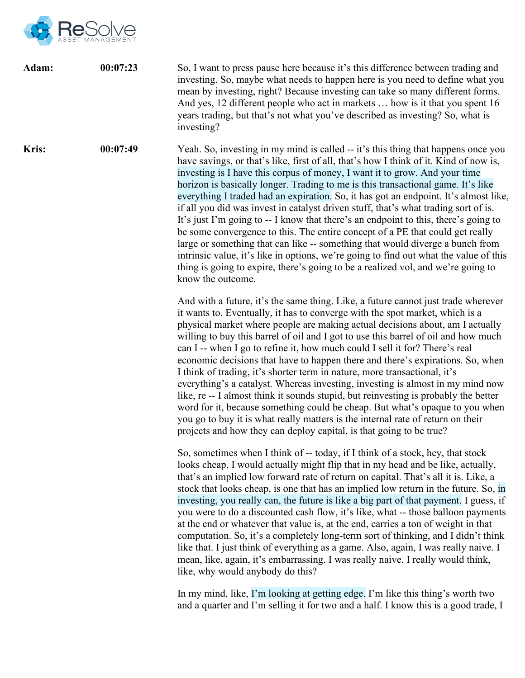

| Adam: | 00:07:23 | So, I want to press pause here because it's this difference between trading and<br>investing. So, maybe what needs to happen here is you need to define what you<br>mean by investing, right? Because investing can take so many different forms.<br>And yes, 12 different people who act in markets  how is it that you spent 16<br>years trading, but that's not what you've described as investing? So, what is<br>investing?                                                                                                                                                                                                                                                                                                                                                                                                                                                                                                                                                                          |
|-------|----------|-----------------------------------------------------------------------------------------------------------------------------------------------------------------------------------------------------------------------------------------------------------------------------------------------------------------------------------------------------------------------------------------------------------------------------------------------------------------------------------------------------------------------------------------------------------------------------------------------------------------------------------------------------------------------------------------------------------------------------------------------------------------------------------------------------------------------------------------------------------------------------------------------------------------------------------------------------------------------------------------------------------|
| Kris: | 00:07:49 | Yeah. So, investing in my mind is called -- it's this thing that happens once you<br>have savings, or that's like, first of all, that's how I think of it. Kind of now is,<br>investing is I have this corpus of money, I want it to grow. And your time<br>horizon is basically longer. Trading to me is this transactional game. It's like<br>everything I traded had an expiration. So, it has got an endpoint. It's almost like,<br>if all you did was invest in catalyst driven stuff, that's what trading sort of is.<br>It's just I'm going to -- I know that there's an endpoint to this, there's going to<br>be some convergence to this. The entire concept of a PE that could get really<br>large or something that can like -- something that would diverge a bunch from<br>intrinsic value, it's like in options, we're going to find out what the value of this<br>thing is going to expire, there's going to be a realized vol, and we're going to<br>know the outcome.                    |
|       |          | And with a future, it's the same thing. Like, a future cannot just trade wherever<br>it wants to. Eventually, it has to converge with the spot market, which is a<br>physical market where people are making actual decisions about, am I actually<br>willing to buy this barrel of oil and I got to use this barrel of oil and how much<br>can I -- when I go to refine it, how much could I sell it for? There's real<br>economic decisions that have to happen there and there's expirations. So, when<br>I think of trading, it's shorter term in nature, more transactional, it's<br>everything's a catalyst. Whereas investing, investing is almost in my mind now<br>like, re -- I almost think it sounds stupid, but reinvesting is probably the better<br>word for it, because something could be cheap. But what's opaque to you when<br>you go to buy it is what really matters is the internal rate of return on their<br>projects and how they can deploy capital, is that going to be true? |
|       |          | So, sometimes when I think of -- today, if I think of a stock, hey, that stock<br>looks cheap, I would actually might flip that in my head and be like, actually,<br>that's an implied low forward rate of return on capital. That's all it is. Like, a<br>stock that looks cheap, is one that has an implied low return in the future. So, in<br>investing, you really can, the future is like a big part of that payment. I guess, if<br>you were to do a discounted cash flow, it's like, what -- those balloon payments<br>at the end or whatever that value is, at the end, carries a ton of weight in that<br>computation. So, it's a completely long-term sort of thinking, and I didn't think<br>like that. I just think of everything as a game. Also, again, I was really naive. I<br>mean, like, again, it's embarrassing. I was really naive. I really would think,<br>like, why would anybody do this?                                                                                       |
|       |          | In my mind, like, I'm looking at getting edge. I'm like this thing's worth two<br>and a quarter and I'm selling it for two and a half. I know this is a good trade, I                                                                                                                                                                                                                                                                                                                                                                                                                                                                                                                                                                                                                                                                                                                                                                                                                                     |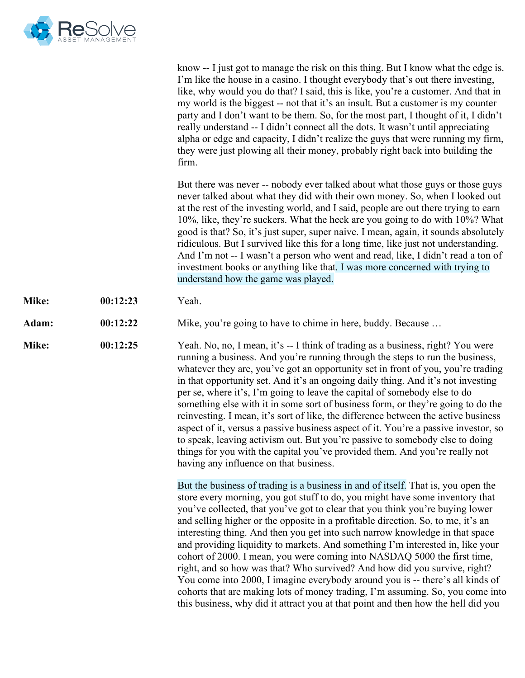

|       |          | know -- I just got to manage the risk on this thing. But I know what the edge is.<br>I'm like the house in a casino. I thought everybody that's out there investing,<br>like, why would you do that? I said, this is like, you're a customer. And that in<br>my world is the biggest -- not that it's an insult. But a customer is my counter<br>party and I don't want to be them. So, for the most part, I thought of it, I didn't<br>really understand -- I didn't connect all the dots. It wasn't until appreciating<br>alpha or edge and capacity, I didn't realize the guys that were running my firm,<br>they were just plowing all their money, probably right back into building the<br>firm.                                                                                                                                                                                                                    |
|-------|----------|---------------------------------------------------------------------------------------------------------------------------------------------------------------------------------------------------------------------------------------------------------------------------------------------------------------------------------------------------------------------------------------------------------------------------------------------------------------------------------------------------------------------------------------------------------------------------------------------------------------------------------------------------------------------------------------------------------------------------------------------------------------------------------------------------------------------------------------------------------------------------------------------------------------------------|
|       |          | But there was never -- nobody ever talked about what those guys or those guys<br>never talked about what they did with their own money. So, when I looked out<br>at the rest of the investing world, and I said, people are out there trying to earn<br>10%, like, they're suckers. What the heck are you going to do with 10%? What<br>good is that? So, it's just super, super naive. I mean, again, it sounds absolutely<br>ridiculous. But I survived like this for a long time, like just not understanding.<br>And I'm not -- I wasn't a person who went and read, like, I didn't read a ton of<br>investment books or anything like that. I was more concerned with trying to<br>understand how the game was played.                                                                                                                                                                                               |
| Mike: | 00:12:23 | Yeah.                                                                                                                                                                                                                                                                                                                                                                                                                                                                                                                                                                                                                                                                                                                                                                                                                                                                                                                     |
| Adam: | 00:12:22 | Mike, you're going to have to chime in here, buddy. Because                                                                                                                                                                                                                                                                                                                                                                                                                                                                                                                                                                                                                                                                                                                                                                                                                                                               |
| Mike: | 00:12:25 | Yeah. No, no, I mean, it's -- I think of trading as a business, right? You were<br>running a business. And you're running through the steps to run the business,<br>whatever they are, you've got an opportunity set in front of you, you're trading<br>in that opportunity set. And it's an ongoing daily thing. And it's not investing<br>per se, where it's, I'm going to leave the capital of somebody else to do<br>something else with it in some sort of business form, or they're going to do the<br>reinvesting. I mean, it's sort of like, the difference between the active business<br>aspect of it, versus a passive business aspect of it. You're a passive investor, so<br>to speak, leaving activism out. But you're passive to somebody else to doing<br>things for you with the capital you've provided them. And you're really not<br>having any influence on that business.                           |
|       |          | But the business of trading is a business in and of itself. That is, you open the<br>store every morning, you got stuff to do, you might have some inventory that<br>you've collected, that you've got to clear that you think you're buying lower<br>and selling higher or the opposite in a profitable direction. So, to me, it's an<br>interesting thing. And then you get into such narrow knowledge in that space<br>and providing liquidity to markets. And something I'm interested in, like your<br>cohort of 2000. I mean, you were coming into NASDAQ 5000 the first time,<br>right, and so how was that? Who survived? And how did you survive, right?<br>You come into 2000, I imagine everybody around you is -- there's all kinds of<br>cohorts that are making lots of money trading, I'm assuming. So, you come into<br>this business, why did it attract you at that point and then how the hell did you |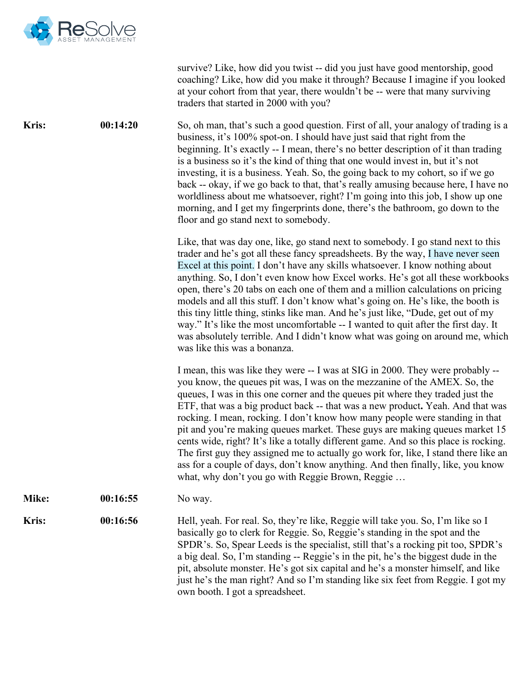

survive? Like, how did you twist -- did you just have good mentorship, good coaching? Like, how did you make it through? Because I imagine if you looked at your cohort from that year, there wouldn't be -- were that many surviving traders that started in 2000 with you?

**Kris:** 00:14:20 So, oh man, that's such a good question. First of all, your analogy of trading is a business, it's 100% spot-on. I should have just said that right from the beginning. It's exactly -- I mean, there's no better description of it than trading is a business so it's the kind of thing that one would invest in, but it's not investing, it is a business. Yeah. So, the going back to my cohort, so if we go back -- okay, if we go back to that, that's really amusing because here, I have no worldliness about me whatsoever, right? I'm going into this job, I show up one morning, and I get my fingerprints done, there's the bathroom, go down to the floor and go stand next to somebody.

> Like, that was day one, like, go stand next to somebody. I go stand next to this trader and he's got all these fancy spreadsheets. By the way, I have never seen Excel at this point. I don't have any skills whatsoever. I know nothing about anything. So, I don't even know how Excel works. He's got all these workbooks open, there's 20 tabs on each one of them and a million calculations on pricing models and all this stuff. I don't know what's going on. He's like, the booth is this tiny little thing, stinks like man. And he's just like, "Dude, get out of my way." It's like the most uncomfortable -- I wanted to quit after the first day. It was absolutely terrible. And I didn't know what was going on around me, which was like this was a bonanza.

> I mean, this was like they were -- I was at SIG in 2000. They were probably - you know, the queues pit was, I was on the mezzanine of the AMEX. So, the queues, I was in this one corner and the queues pit where they traded just the ETF, that was a big product back -- that was a new product**.** Yeah. And that was rocking. I mean, rocking. I don't know how many people were standing in that pit and you're making queues market. These guys are making queues market 15 cents wide, right? It's like a totally different game. And so this place is rocking. The first guy they assigned me to actually go work for, like, I stand there like an ass for a couple of days, don't know anything. And then finally, like, you know what, why don't you go with Reggie Brown, Reggie ...

**Mike: 00:16:55** No way.

**Kris: 00:16:56** Hell, yeah. For real. So, they're like, Reggie will take you. So, I'm like so I basically go to clerk for Reggie. So, Reggie's standing in the spot and the SPDR's. So, Spear Leeds is the specialist, still that's a rocking pit too, SPDR's a big deal. So, I'm standing -- Reggie's in the pit, he's the biggest dude in the pit, absolute monster. He's got six capital and he's a monster himself, and like just he's the man right? And so I'm standing like six feet from Reggie. I got my own booth. I got a spreadsheet.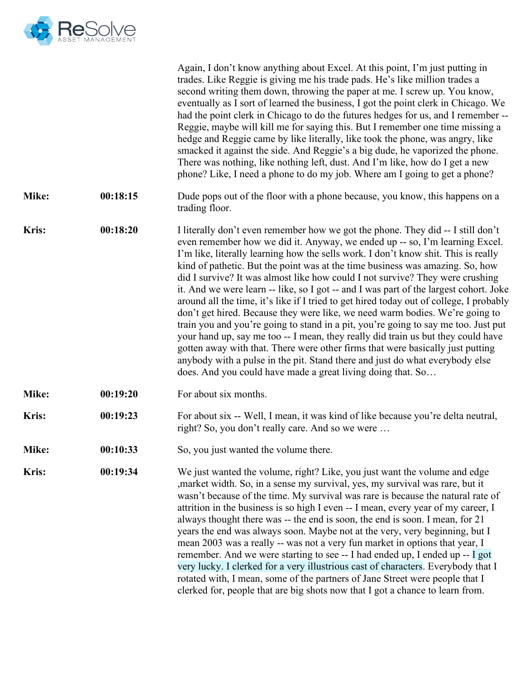

|              |          | Again, I don't know anything about Excel. At this point, I'm just putting in<br>trades. Like Reggie is giving me his trade pads. He's like million trades a<br>second writing them down, throwing the paper at me. I screw up. You know,<br>eventually as I sort of learned the business, I got the point clerk in Chicago. We<br>had the point clerk in Chicago to do the futures hedges for us, and I remember --<br>Reggie, maybe will kill me for saying this. But I remember one time missing a<br>hedge and Reggie came by like literally, like took the phone, was angry, like<br>smacked it against the side. And Reggie's a big dude, he vaporized the phone.<br>There was nothing, like nothing left, dust. And I'm like, how do I get a new<br>phone? Like, I need a phone to do my job. Where am I going to get a phone?                                                                                                                                                                                                                                                                  |
|--------------|----------|-------------------------------------------------------------------------------------------------------------------------------------------------------------------------------------------------------------------------------------------------------------------------------------------------------------------------------------------------------------------------------------------------------------------------------------------------------------------------------------------------------------------------------------------------------------------------------------------------------------------------------------------------------------------------------------------------------------------------------------------------------------------------------------------------------------------------------------------------------------------------------------------------------------------------------------------------------------------------------------------------------------------------------------------------------------------------------------------------------|
| Mike:        | 00:18:15 | Dude pops out of the floor with a phone because, you know, this happens on a<br>trading floor.                                                                                                                                                                                                                                                                                                                                                                                                                                                                                                                                                                                                                                                                                                                                                                                                                                                                                                                                                                                                        |
| <b>Kris:</b> | 00:18:20 | I literally don't even remember how we got the phone. They did -- I still don't<br>even remember how we did it. Anyway, we ended up -- so, I'm learning Excel.<br>I'm like, literally learning how the sells work. I don't know shit. This is really<br>kind of pathetic. But the point was at the time business was amazing. So, how<br>did I survive? It was almost like how could I not survive? They were crushing<br>it. And we were learn -- like, so I got -- and I was part of the largest cohort. Joke<br>around all the time, it's like if I tried to get hired today out of college, I probably<br>don't get hired. Because they were like, we need warm bodies. We're going to<br>train you and you're going to stand in a pit, you're going to say me too. Just put<br>your hand up, say me too -- I mean, they really did train us but they could have<br>gotten away with that. There were other firms that were basically just putting<br>anybody with a pulse in the pit. Stand there and just do what everybody else<br>does. And you could have made a great living doing that. So |
| Mike:        | 00:19:20 | For about six months.                                                                                                                                                                                                                                                                                                                                                                                                                                                                                                                                                                                                                                                                                                                                                                                                                                                                                                                                                                                                                                                                                 |
| <b>Kris:</b> | 00:19:23 | For about six -- Well, I mean, it was kind of like because you're delta neutral,<br>right? So, you don't really care. And so we were                                                                                                                                                                                                                                                                                                                                                                                                                                                                                                                                                                                                                                                                                                                                                                                                                                                                                                                                                                  |
| Mike:        | 00:10:33 | So, you just wanted the volume there.                                                                                                                                                                                                                                                                                                                                                                                                                                                                                                                                                                                                                                                                                                                                                                                                                                                                                                                                                                                                                                                                 |
| Kris:        | 00:19:34 | We just wanted the volume, right? Like, you just want the volume and edge<br>, market width. So, in a sense my survival, yes, my survival was rare, but it<br>wasn't because of the time. My survival was rare is because the natural rate of<br>attrition in the business is so high I even -- I mean, every year of my career, I<br>always thought there was -- the end is soon, the end is soon. I mean, for 21<br>years the end was always soon. Maybe not at the very, very beginning, but I<br>mean 2003 was a really -- was not a very fun market in options that year, I<br>remember. And we were starting to see -- I had ended up, I ended up -- I got<br>very lucky. I clerked for a very illustrious cast of characters. Everybody that I<br>rotated with, I mean, some of the partners of Jane Street were people that I<br>clerked for, people that are big shots now that I got a chance to learn from.                                                                                                                                                                                |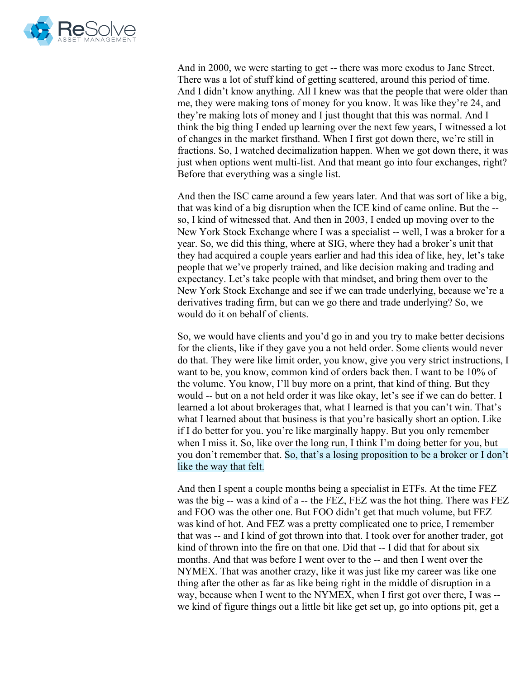

And in 2000, we were starting to get -- there was more exodus to Jane Street. There was a lot of stuff kind of getting scattered, around this period of time. And I didn't know anything. All I knew was that the people that were older than me, they were making tons of money for you know. It was like they're 24, and they're making lots of money and I just thought that this was normal. And I think the big thing I ended up learning over the next few years, I witnessed a lot of changes in the market firsthand. When I first got down there, we're still in fractions. So, I watched decimalization happen. When we got down there, it was just when options went multi-list. And that meant go into four exchanges, right? Before that everything was a single list.

And then the ISC came around a few years later. And that was sort of like a big, that was kind of a big disruption when the ICE kind of came online. But the - so, I kind of witnessed that. And then in 2003, I ended up moving over to the New York Stock Exchange where I was a specialist -- well, I was a broker for a year. So, we did this thing, where at SIG, where they had a broker's unit that they had acquired a couple years earlier and had this idea of like, hey, let's take people that we've properly trained, and like decision making and trading and expectancy. Let's take people with that mindset, and bring them over to the New York Stock Exchange and see if we can trade underlying, because we're a derivatives trading firm, but can we go there and trade underlying? So, we would do it on behalf of clients.

So, we would have clients and you'd go in and you try to make better decisions for the clients, like if they gave you a not held order. Some clients would never do that. They were like limit order, you know, give you very strict instructions, I want to be, you know, common kind of orders back then. I want to be 10% of the volume. You know, I'll buy more on a print, that kind of thing. But they would -- but on a not held order it was like okay, let's see if we can do better. I learned a lot about brokerages that, what I learned is that you can't win. That's what I learned about that business is that you're basically short an option. Like if I do better for you. you're like marginally happy. But you only remember when I miss it. So, like over the long run, I think I'm doing better for you, but you don't remember that. So, that's a losing proposition to be a broker or I don't like the way that felt.

And then I spent a couple months being a specialist in ETFs. At the time FEZ was the big -- was a kind of a -- the FEZ, FEZ was the hot thing. There was FEZ and FOO was the other one. But FOO didn't get that much volume, but FEZ was kind of hot. And FEZ was a pretty complicated one to price, I remember that was -- and I kind of got thrown into that. I took over for another trader, got kind of thrown into the fire on that one. Did that -- I did that for about six months. And that was before I went over to the -- and then I went over the NYMEX. That was another crazy, like it was just like my career was like one thing after the other as far as like being right in the middle of disruption in a way, because when I went to the NYMEX, when I first got over there, I was - we kind of figure things out a little bit like get set up, go into options pit, get a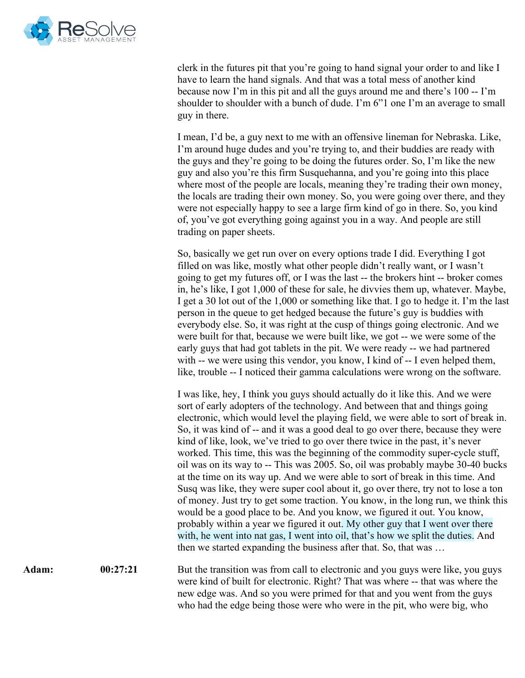

clerk in the futures pit that you're going to hand signal your order to and like I have to learn the hand signals. And that was a total mess of another kind because now I'm in this pit and all the guys around me and there's 100 -- I'm shoulder to shoulder with a bunch of dude. I'm 6"1 one I'm an average to small guy in there.

I mean, I'd be, a guy next to me with an offensive lineman for Nebraska. Like, I'm around huge dudes and you're trying to, and their buddies are ready with the guys and they're going to be doing the futures order. So, I'm like the new guy and also you're this firm Susquehanna, and you're going into this place where most of the people are locals, meaning they're trading their own money, the locals are trading their own money. So, you were going over there, and they were not especially happy to see a large firm kind of go in there. So, you kind of, you've got everything going against you in a way. And people are still trading on paper sheets.

So, basically we get run over on every options trade I did. Everything I got filled on was like, mostly what other people didn't really want, or I wasn't going to get my futures off, or I was the last -- the brokers hint -- broker comes in, he's like, I got 1,000 of these for sale, he divvies them up, whatever. Maybe, I get a 30 lot out of the 1,000 or something like that. I go to hedge it. I'm the last person in the queue to get hedged because the future's guy is buddies with everybody else. So, it was right at the cusp of things going electronic. And we were built for that, because we were built like, we got -- we were some of the early guys that had got tablets in the pit. We were ready -- we had partnered with -- we were using this vendor, you know, I kind of -- I even helped them, like, trouble -- I noticed their gamma calculations were wrong on the software.

I was like, hey, I think you guys should actually do it like this. And we were sort of early adopters of the technology. And between that and things going electronic, which would level the playing field, we were able to sort of break in. So, it was kind of -- and it was a good deal to go over there, because they were kind of like, look, we've tried to go over there twice in the past, it's never worked. This time, this was the beginning of the commodity super-cycle stuff, oil was on its way to -- This was 2005. So, oil was probably maybe 30-40 bucks at the time on its way up. And we were able to sort of break in this time. And Susq was like, they were super cool about it, go over there, try not to lose a ton of money. Just try to get some traction. You know, in the long run, we think this would be a good place to be. And you know, we figured it out. You know, probably within a year we figured it out. My other guy that I went over there with, he went into nat gas, I went into oil, that's how we split the duties. And then we started expanding the business after that. So, that was …

Adam: 00:27:21 But the transition was from call to electronic and you guys were like, you guys were kind of built for electronic. Right? That was where -- that was where the new edge was. And so you were primed for that and you went from the guys who had the edge being those were who were in the pit, who were big, who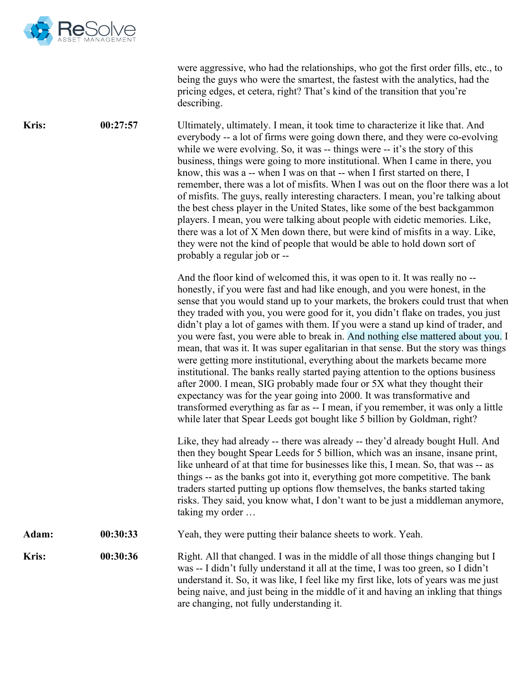

were aggressive, who had the relationships, who got the first order fills, etc., to being the guys who were the smartest, the fastest with the analytics, had the pricing edges, et cetera, right? That's kind of the transition that you're describing.

**Kris:** 00:27:57 Ultimately, ultimately. I mean, it took time to characterize it like that. And everybody -- a lot of firms were going down there, and they were co-evolving while we were evolving. So, it was -- things were -- it's the story of this business, things were going to more institutional. When I came in there, you know, this was a -- when I was on that -- when I first started on there, I remember, there was a lot of misfits. When I was out on the floor there was a lot of misfits. The guys, really interesting characters. I mean, you're talking about the best chess player in the United States, like some of the best backgammon players. I mean, you were talking about people with eidetic memories. Like, there was a lot of X Men down there, but were kind of misfits in a way. Like, they were not the kind of people that would be able to hold down sort of probably a regular job or --

> And the floor kind of welcomed this, it was open to it. It was really no - honestly, if you were fast and had like enough, and you were honest, in the sense that you would stand up to your markets, the brokers could trust that when they traded with you, you were good for it, you didn't flake on trades, you just didn't play a lot of games with them. If you were a stand up kind of trader, and you were fast, you were able to break in. And nothing else mattered about you. I mean, that was it. It was super egalitarian in that sense. But the story was things were getting more institutional, everything about the markets became more institutional. The banks really started paying attention to the options business after 2000. I mean, SIG probably made four or 5X what they thought their expectancy was for the year going into 2000. It was transformative and transformed everything as far as -- I mean, if you remember, it was only a little while later that Spear Leeds got bought like 5 billion by Goldman, right?

Like, they had already -- there was already -- they'd already bought Hull. And then they bought Spear Leeds for 5 billion, which was an insane, insane print, like unheard of at that time for businesses like this, I mean. So, that was -- as things -- as the banks got into it, everything got more competitive. The bank traders started putting up options flow themselves, the banks started taking risks. They said, you know what, I don't want to be just a middleman anymore, taking my order …

**Adam: 00:30:33** Yeah, they were putting their balance sheets to work. Yeah.

**Kris: 00:30:36** Right. All that changed. I was in the middle of all those things changing but I was -- I didn't fully understand it all at the time, I was too green, so I didn't understand it. So, it was like, I feel like my first like, lots of years was me just being naive, and just being in the middle of it and having an inkling that things are changing, not fully understanding it.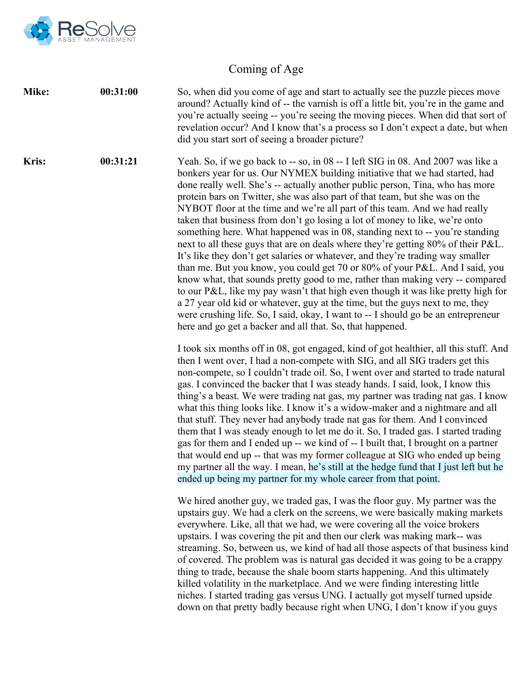

## Coming of Age

**Mike: 00:31:00** So, when did you come of age and start to actually see the puzzle pieces move around? Actually kind of -- the varnish is off a little bit, you're in the game and you're actually seeing -- you're seeing the moving pieces. When did that sort of revelation occur? And I know that's a process so I don't expect a date, but when did you start sort of seeing a broader picture?

**Kris: 00:31:21** Yeah. So, if we go back to -- so, in 08 -- I left SIG in 08. And 2007 was like a bonkers year for us. Our NYMEX building initiative that we had started, had done really well. She's -- actually another public person, Tina, who has more protein bars on Twitter, she was also part of that team, but she was on the NYBOT floor at the time and we're all part of this team. And we had really taken that business from don't go losing a lot of money to like, we're onto something here. What happened was in 08, standing next to -- you're standing next to all these guys that are on deals where they're getting 80% of their P&L. It's like they don't get salaries or whatever, and they're trading way smaller than me. But you know, you could get 70 or 80% of your P&L. And I said, you know what, that sounds pretty good to me, rather than making very -- compared to our P&L, like my pay wasn't that high even though it was like pretty high for a 27 year old kid or whatever, guy at the time, but the guys next to me, they were crushing life. So, I said, okay, I want to -- I should go be an entrepreneur here and go get a backer and all that. So, that happened.

> I took six months off in 08, got engaged, kind of got healthier, all this stuff. And then I went over, I had a non-compete with SIG, and all SIG traders get this non-compete, so I couldn't trade oil. So, I went over and started to trade natural gas. I convinced the backer that I was steady hands. I said, look, I know this thing's a beast. We were trading nat gas, my partner was trading nat gas. I know what this thing looks like. I know it's a widow-maker and a nightmare and all that stuff. They never had anybody trade nat gas for them. And I convinced them that I was steady enough to let me do it. So, I traded gas. I started trading gas for them and I ended up -- we kind of -- I built that, I brought on a partner that would end up -- that was my former colleague at SIG who ended up being my partner all the way. I mean, he's still at the hedge fund that I just left but he ended up being my partner for my whole career from that point.

> We hired another guy, we traded gas, I was the floor guy. My partner was the upstairs guy. We had a clerk on the screens, we were basically making markets everywhere. Like, all that we had, we were covering all the voice brokers upstairs. I was covering the pit and then our clerk was making mark-- was streaming. So, between us, we kind of had all those aspects of that business kind of covered. The problem was is natural gas decided it was going to be a crappy thing to trade, because the shale boom starts happening. And this ultimately killed volatility in the marketplace. And we were finding interesting little niches. I started trading gas versus UNG. I actually got myself turned upside down on that pretty badly because right when UNG, I don't know if you guys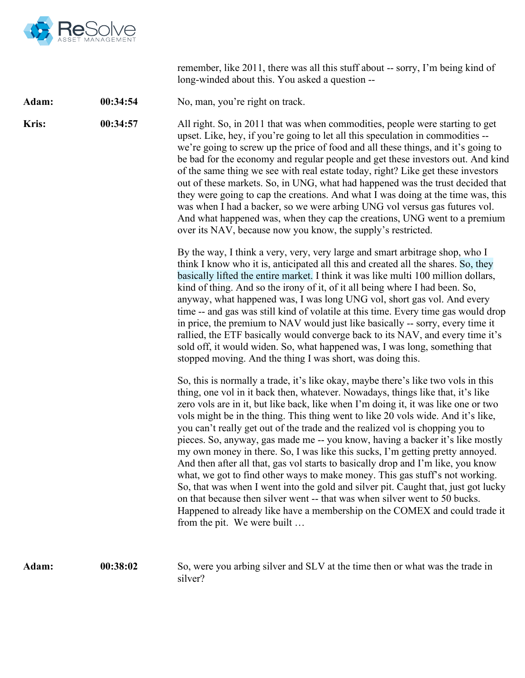

remember, like 2011, there was all this stuff about -- sorry, I'm being kind of long-winded about this. You asked a question --

Adam: 00:34:54 No, man, you're right on track.

**Kris: 00:34:57** All right. So, in 2011 that was when commodities, people were starting to get upset. Like, hey, if you're going to let all this speculation in commodities - we're going to screw up the price of food and all these things, and it's going to be bad for the economy and regular people and get these investors out. And kind of the same thing we see with real estate today, right? Like get these investors out of these markets. So, in UNG, what had happened was the trust decided that they were going to cap the creations. And what I was doing at the time was, this was when I had a backer, so we were arbing UNG vol versus gas futures vol. And what happened was, when they cap the creations, UNG went to a premium over its NAV, because now you know, the supply's restricted.

> By the way, I think a very, very, very large and smart arbitrage shop, who I think I know who it is, anticipated all this and created all the shares. So, they basically lifted the entire market. I think it was like multi 100 million dollars, kind of thing. And so the irony of it, of it all being where I had been. So, anyway, what happened was, I was long UNG vol, short gas vol. And every time -- and gas was still kind of volatile at this time. Every time gas would drop in price, the premium to NAV would just like basically -- sorry, every time it rallied, the ETF basically would converge back to its NAV, and every time it's sold off, it would widen. So, what happened was, I was long, something that stopped moving. And the thing I was short, was doing this.

> So, this is normally a trade, it's like okay, maybe there's like two vols in this thing, one vol in it back then, whatever. Nowadays, things like that, it's like zero vols are in it, but like back, like when I'm doing it, it was like one or two vols might be in the thing. This thing went to like 20 vols wide. And it's like, you can't really get out of the trade and the realized vol is chopping you to pieces. So, anyway, gas made me -- you know, having a backer it's like mostly my own money in there. So, I was like this sucks, I'm getting pretty annoyed. And then after all that, gas vol starts to basically drop and I'm like, you know what, we got to find other ways to make money. This gas stuff's not working. So, that was when I went into the gold and silver pit. Caught that, just got lucky on that because then silver went -- that was when silver went to 50 bucks. Happened to already like have a membership on the COMEX and could trade it from the pit. We were built …

**Adam: 00:38:02** So, were you arbing silver and SLV at the time then or what was the trade in silver?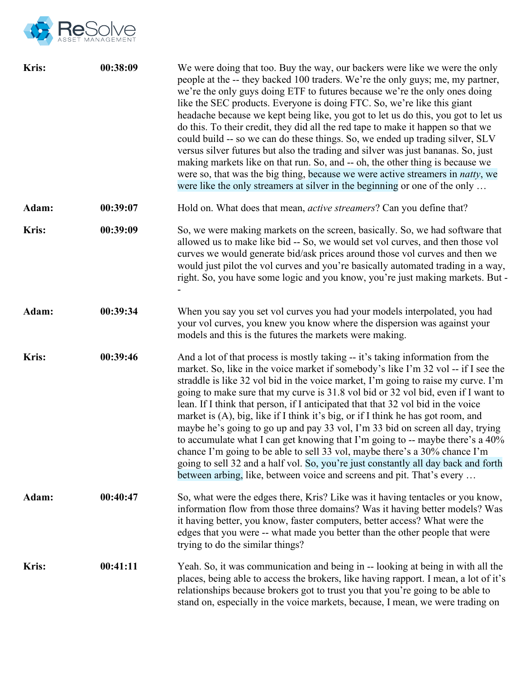

| Kris:        | 00:38:09 | We were doing that too. Buy the way, our backers were like we were the only<br>people at the -- they backed 100 traders. We're the only guys; me, my partner,<br>we're the only guys doing ETF to futures because we're the only ones doing<br>like the SEC products. Everyone is doing FTC. So, we're like this giant<br>headache because we kept being like, you got to let us do this, you got to let us<br>do this. To their credit, they did all the red tape to make it happen so that we<br>could build -- so we can do these things. So, we ended up trading silver, SLV<br>versus silver futures but also the trading and silver was just bananas. So, just<br>making markets like on that run. So, and -- oh, the other thing is because we<br>were so, that was the big thing, because we were active streamers in <i>natty</i> , we<br>were like the only streamers at silver in the beginning or one of the only          |
|--------------|----------|----------------------------------------------------------------------------------------------------------------------------------------------------------------------------------------------------------------------------------------------------------------------------------------------------------------------------------------------------------------------------------------------------------------------------------------------------------------------------------------------------------------------------------------------------------------------------------------------------------------------------------------------------------------------------------------------------------------------------------------------------------------------------------------------------------------------------------------------------------------------------------------------------------------------------------------|
| Adam:        | 00:39:07 | Hold on. What does that mean, <i>active streamers</i> ? Can you define that?                                                                                                                                                                                                                                                                                                                                                                                                                                                                                                                                                                                                                                                                                                                                                                                                                                                           |
| <b>Kris:</b> | 00:39:09 | So, we were making markets on the screen, basically. So, we had software that<br>allowed us to make like bid -- So, we would set vol curves, and then those vol<br>curves we would generate bid/ask prices around those vol curves and then we<br>would just pilot the vol curves and you're basically automated trading in a way,<br>right. So, you have some logic and you know, you're just making markets. But -                                                                                                                                                                                                                                                                                                                                                                                                                                                                                                                   |
| Adam:        | 00:39:34 | When you say you set vol curves you had your models interpolated, you had<br>your vol curves, you knew you know where the dispersion was against your<br>models and this is the futures the markets were making.                                                                                                                                                                                                                                                                                                                                                                                                                                                                                                                                                                                                                                                                                                                       |
| Kris:        | 00:39:46 | And a lot of that process is mostly taking -- it's taking information from the<br>market. So, like in the voice market if somebody's like I'm 32 vol -- if I see the<br>straddle is like 32 vol bid in the voice market, I'm going to raise my curve. I'm<br>going to make sure that my curve is 31.8 vol bid or 32 vol bid, even if I want to<br>lean. If I think that person, if I anticipated that that 32 vol bid in the voice<br>market is (A), big, like if I think it's big, or if I think he has got room, and<br>maybe he's going to go up and pay 33 vol, I'm 33 bid on screen all day, trying<br>to accumulate what I can get knowing that I'm going to -- maybe there's a 40%<br>chance I'm going to be able to sell 33 vol, maybe there's a 30% chance I'm<br>going to sell 32 and a half vol. So, you're just constantly all day back and forth<br>between arbing, like, between voice and screens and pit. That's every |
| Adam:        | 00:40:47 | So, what were the edges there, Kris? Like was it having tentacles or you know,<br>information flow from those three domains? Was it having better models? Was<br>it having better, you know, faster computers, better access? What were the<br>edges that you were -- what made you better than the other people that were<br>trying to do the similar things?                                                                                                                                                                                                                                                                                                                                                                                                                                                                                                                                                                         |
| <b>Kris:</b> | 00:41:11 | Yeah. So, it was communication and being in -- looking at being in with all the<br>places, being able to access the brokers, like having rapport. I mean, a lot of it's<br>relationships because brokers got to trust you that you're going to be able to<br>stand on, especially in the voice markets, because, I mean, we were trading on                                                                                                                                                                                                                                                                                                                                                                                                                                                                                                                                                                                            |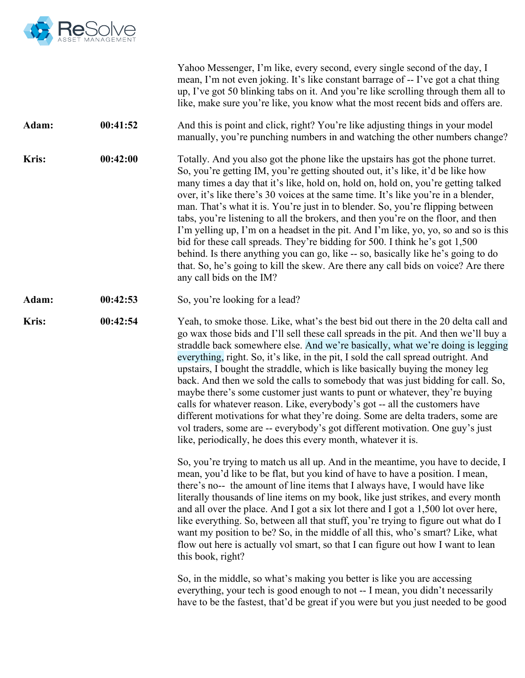

|              |          | Yahoo Messenger, I'm like, every second, every single second of the day, I<br>mean, I'm not even joking. It's like constant barrage of -- I've got a chat thing<br>up, I've got 50 blinking tabs on it. And you're like scrolling through them all to<br>like, make sure you're like, you know what the most recent bids and offers are.                                                                                                                                                                                                                                                                                                                                                                                                                                                                                                                                                                               |
|--------------|----------|------------------------------------------------------------------------------------------------------------------------------------------------------------------------------------------------------------------------------------------------------------------------------------------------------------------------------------------------------------------------------------------------------------------------------------------------------------------------------------------------------------------------------------------------------------------------------------------------------------------------------------------------------------------------------------------------------------------------------------------------------------------------------------------------------------------------------------------------------------------------------------------------------------------------|
| Adam:        | 00:41:52 | And this is point and click, right? You're like adjusting things in your model<br>manually, you're punching numbers in and watching the other numbers change?                                                                                                                                                                                                                                                                                                                                                                                                                                                                                                                                                                                                                                                                                                                                                          |
| <b>Kris:</b> | 00:42:00 | Totally. And you also got the phone like the upstairs has got the phone turret.<br>So, you're getting IM, you're getting shouted out, it's like, it'd be like how<br>many times a day that it's like, hold on, hold on, hold on, you're getting talked<br>over, it's like there's 30 voices at the same time. It's like you're in a blender,<br>man. That's what it is. You're just in to blender. So, you're flipping between<br>tabs, you're listening to all the brokers, and then you're on the floor, and then<br>I'm yelling up, I'm on a headset in the pit. And I'm like, yo, yo, so and so is this<br>bid for these call spreads. They're bidding for 500. I think he's got 1,500<br>behind. Is there anything you can go, like -- so, basically like he's going to do<br>that. So, he's going to kill the skew. Are there any call bids on voice? Are there<br>any call bids on the IM?                      |
| Adam:        | 00:42:53 | So, you're looking for a lead?                                                                                                                                                                                                                                                                                                                                                                                                                                                                                                                                                                                                                                                                                                                                                                                                                                                                                         |
| <b>Kris:</b> | 00:42:54 | Yeah, to smoke those. Like, what's the best bid out there in the 20 delta call and<br>go wax those bids and I'll sell these call spreads in the pit. And then we'll buy a<br>straddle back somewhere else. And we're basically, what we're doing is legging<br>everything, right. So, it's like, in the pit, I sold the call spread outright. And<br>upstairs, I bought the straddle, which is like basically buying the money leg<br>back. And then we sold the calls to somebody that was just bidding for call. So,<br>maybe there's some customer just wants to punt or whatever, they're buying<br>calls for whatever reason. Like, everybody's got -- all the customers have<br>different motivations for what they're doing. Some are delta traders, some are<br>vol traders, some are -- everybody's got different motivation. One guy's just<br>like, periodically, he does this every month, whatever it is. |
|              |          | So, you're trying to match us all up. And in the meantime, you have to decide, I<br>mean, you'd like to be flat, but you kind of have to have a position. I mean,<br>there's no-- the amount of line items that I always have, I would have like<br>literally thousands of line items on my book, like just strikes, and every month<br>and all over the place. And I got a six lot there and I got a 1,500 lot over here,<br>like everything. So, between all that stuff, you're trying to figure out what do I<br>want my position to be? So, in the middle of all this, who's smart? Like, what<br>flow out here is actually vol smart, so that I can figure out how I want to lean<br>this book, right?                                                                                                                                                                                                            |
|              |          | So, in the middle, so what's making you better is like you are accessing<br>everything, your tech is good enough to not -- I mean, you didn't necessarily<br>have to be the fastest, that'd be great if you were but you just needed to be good                                                                                                                                                                                                                                                                                                                                                                                                                                                                                                                                                                                                                                                                        |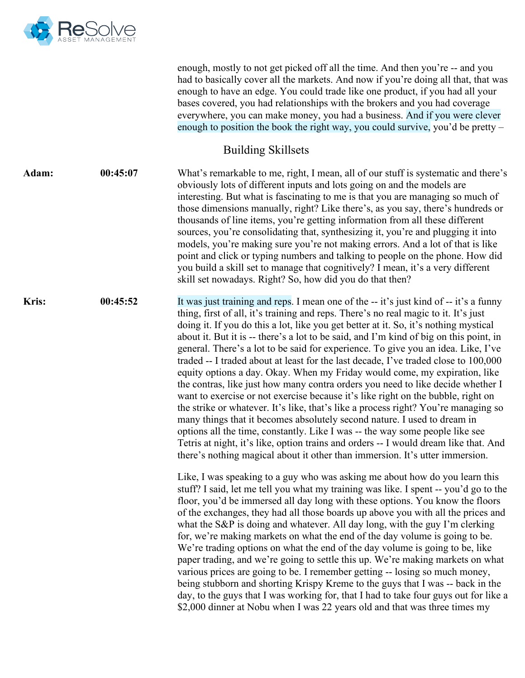

|              |          | enough, mostly to not get picked off all the time. And then you're -- and you<br>had to basically cover all the markets. And now if you're doing all that, that was<br>enough to have an edge. You could trade like one product, if you had all your<br>bases covered, you had relationships with the brokers and you had coverage<br>everywhere, you can make money, you had a business. And if you were clever<br>enough to position the book the right way, you could survive, you'd be pretty $-$                                                                                                                                                                                                                                                                                                                                                                                                                                                                                                                                                                                                                                                                                                                                                                                                                                                                                                                                                                                                                                                                                                                                                                                                                                                                                                                                                                                                                                                                                                                                                                                                                                                          |
|--------------|----------|----------------------------------------------------------------------------------------------------------------------------------------------------------------------------------------------------------------------------------------------------------------------------------------------------------------------------------------------------------------------------------------------------------------------------------------------------------------------------------------------------------------------------------------------------------------------------------------------------------------------------------------------------------------------------------------------------------------------------------------------------------------------------------------------------------------------------------------------------------------------------------------------------------------------------------------------------------------------------------------------------------------------------------------------------------------------------------------------------------------------------------------------------------------------------------------------------------------------------------------------------------------------------------------------------------------------------------------------------------------------------------------------------------------------------------------------------------------------------------------------------------------------------------------------------------------------------------------------------------------------------------------------------------------------------------------------------------------------------------------------------------------------------------------------------------------------------------------------------------------------------------------------------------------------------------------------------------------------------------------------------------------------------------------------------------------------------------------------------------------------------------------------------------------|
|              |          | <b>Building Skillsets</b>                                                                                                                                                                                                                                                                                                                                                                                                                                                                                                                                                                                                                                                                                                                                                                                                                                                                                                                                                                                                                                                                                                                                                                                                                                                                                                                                                                                                                                                                                                                                                                                                                                                                                                                                                                                                                                                                                                                                                                                                                                                                                                                                      |
| Adam:        | 00:45:07 | What's remarkable to me, right, I mean, all of our stuff is systematic and there's<br>obviously lots of different inputs and lots going on and the models are<br>interesting. But what is fascinating to me is that you are managing so much of<br>those dimensions manually, right? Like there's, as you say, there's hundreds or<br>thousands of line items, you're getting information from all these different<br>sources, you're consolidating that, synthesizing it, you're and plugging it into<br>models, you're making sure you're not making errors. And a lot of that is like<br>point and click or typing numbers and talking to people on the phone. How did<br>you build a skill set to manage that cognitively? I mean, it's a very different<br>skill set nowadays. Right? So, how did you do that then?                                                                                                                                                                                                                                                                                                                                                                                                                                                                                                                                                                                                                                                                                                                                                                                                                                                                                                                                                                                                                                                                                                                                                                                                                                                                                                                                       |
| <b>Kris:</b> | 00:45:52 | It was just training and reps. I mean one of the -- it's just kind of -- it's a funny<br>thing, first of all, it's training and reps. There's no real magic to it. It's just<br>doing it. If you do this a lot, like you get better at it. So, it's nothing mystical<br>about it. But it is -- there's a lot to be said, and I'm kind of big on this point, in<br>general. There's a lot to be said for experience. To give you an idea. Like, I've<br>traded -- I traded about at least for the last decade, I've traded close to 100,000<br>equity options a day. Okay. When my Friday would come, my expiration, like<br>the contras, like just how many contra orders you need to like decide whether I<br>want to exercise or not exercise because it's like right on the bubble, right on<br>the strike or whatever. It's like, that's like a process right? You're managing so<br>many things that it becomes absolutely second nature. I used to dream in<br>options all the time, constantly. Like I was -- the way some people like see<br>Tetris at night, it's like, option trains and orders -- I would dream like that. And<br>there's nothing magical about it other than immersion. It's utter immersion.<br>Like, I was speaking to a guy who was asking me about how do you learn this<br>stuff? I said, let me tell you what my training was like. I spent -- you'd go to the<br>floor, you'd be immersed all day long with these options. You know the floors<br>of the exchanges, they had all those boards up above you with all the prices and<br>what the S&P is doing and whatever. All day long, with the guy I'm clerking<br>for, we're making markets on what the end of the day volume is going to be.<br>We're trading options on what the end of the day volume is going to be, like<br>paper trading, and we're going to settle this up. We're making markets on what<br>various prices are going to be. I remember getting -- losing so much money,<br>being stubborn and shorting Krispy Kreme to the guys that I was -- back in the<br>day, to the guys that I was working for, that I had to take four guys out for like a |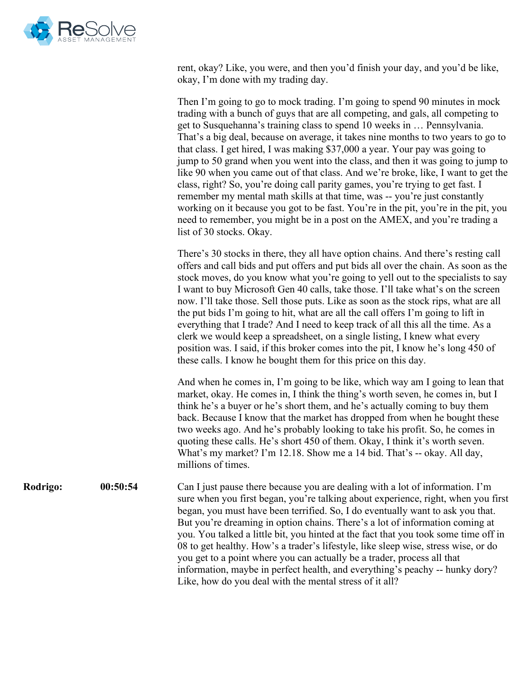

rent, okay? Like, you were, and then you'd finish your day, and you'd be like, okay, I'm done with my trading day.

Then I'm going to go to mock trading. I'm going to spend 90 minutes in mock trading with a bunch of guys that are all competing, and gals, all competing to get to Susquehanna's training class to spend 10 weeks in … Pennsylvania. That's a big deal, because on average, it takes nine months to two years to go to that class. I get hired, I was making \$37,000 a year. Your pay was going to jump to 50 grand when you went into the class, and then it was going to jump to like 90 when you came out of that class. And we're broke, like, I want to get the class, right? So, you're doing call parity games, you're trying to get fast. I remember my mental math skills at that time, was -- you're just constantly working on it because you got to be fast. You're in the pit, you're in the pit, you need to remember, you might be in a post on the AMEX, and you're trading a list of 30 stocks. Okay.

There's 30 stocks in there, they all have option chains. And there's resting call offers and call bids and put offers and put bids all over the chain. As soon as the stock moves, do you know what you're going to yell out to the specialists to say I want to buy Microsoft Gen 40 calls, take those. I'll take what's on the screen now. I'll take those. Sell those puts. Like as soon as the stock rips, what are all the put bids I'm going to hit, what are all the call offers I'm going to lift in everything that I trade? And I need to keep track of all this all the time. As a clerk we would keep a spreadsheet, on a single listing, I knew what every position was. I said, if this broker comes into the pit, I know he's long 450 of these calls. I know he bought them for this price on this day.

And when he comes in, I'm going to be like, which way am I going to lean that market, okay. He comes in, I think the thing's worth seven, he comes in, but I think he's a buyer or he's short them, and he's actually coming to buy them back. Because I know that the market has dropped from when he bought these two weeks ago. And he's probably looking to take his profit. So, he comes in quoting these calls. He's short 450 of them. Okay, I think it's worth seven. What's my market? I'm 12.18. Show me a 14 bid. That's -- okay. All day, millions of times.

**Rodrigo: 00:50:54** Can I just pause there because you are dealing with a lot of information. I'm sure when you first began, you're talking about experience, right, when you first began, you must have been terrified. So, I do eventually want to ask you that. But you're dreaming in option chains. There's a lot of information coming at you. You talked a little bit, you hinted at the fact that you took some time off in 08 to get healthy. How's a trader's lifestyle, like sleep wise, stress wise, or do you get to a point where you can actually be a trader, process all that information, maybe in perfect health, and everything's peachy -- hunky dory? Like, how do you deal with the mental stress of it all?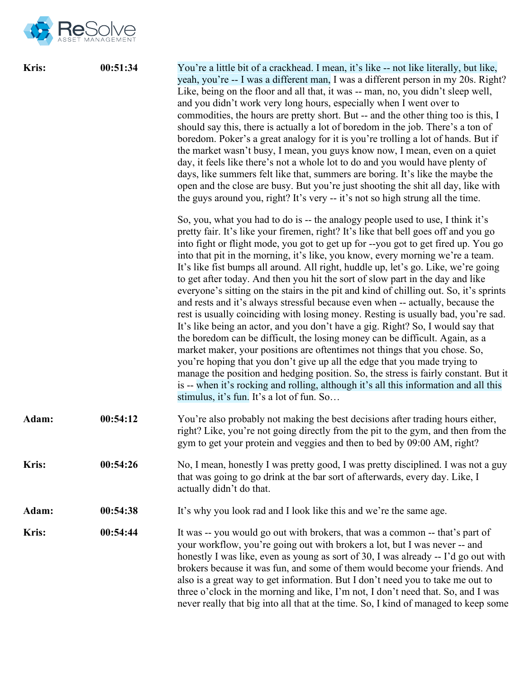

| <b>Kris:</b> | 00:51:34 | You're a little bit of a crackhead. I mean, it's like -- not like literally, but like,<br>yeah, you're -- I was a different man, I was a different person in my 20s. Right?<br>Like, being on the floor and all that, it was -- man, no, you didn't sleep well,<br>and you didn't work very long hours, especially when I went over to<br>commodities, the hours are pretty short. But -- and the other thing too is this, I<br>should say this, there is actually a lot of boredom in the job. There's a ton of<br>boredom. Poker's a great analogy for it is you're trolling a lot of hands. But if<br>the market wasn't busy, I mean, you guys know now, I mean, even on a quiet<br>day, it feels like there's not a whole lot to do and you would have plenty of<br>days, like summers felt like that, summers are boring. It's like the maybe the<br>open and the close are busy. But you're just shooting the shit all day, like with<br>the guys around you, right? It's very -- it's not so high strung all the time.                                                                                                                                                                                                                                                                                                                    |
|--------------|----------|--------------------------------------------------------------------------------------------------------------------------------------------------------------------------------------------------------------------------------------------------------------------------------------------------------------------------------------------------------------------------------------------------------------------------------------------------------------------------------------------------------------------------------------------------------------------------------------------------------------------------------------------------------------------------------------------------------------------------------------------------------------------------------------------------------------------------------------------------------------------------------------------------------------------------------------------------------------------------------------------------------------------------------------------------------------------------------------------------------------------------------------------------------------------------------------------------------------------------------------------------------------------------------------------------------------------------------------------------|
|              |          | So, you, what you had to do is -- the analogy people used to use, I think it's<br>pretty fair. It's like your firemen, right? It's like that bell goes off and you go<br>into fight or flight mode, you got to get up for --you got to get fired up. You go<br>into that pit in the morning, it's like, you know, every morning we're a team.<br>It's like fist bumps all around. All right, huddle up, let's go. Like, we're going<br>to get after today. And then you hit the sort of slow part in the day and like<br>everyone's sitting on the stairs in the pit and kind of chilling out. So, it's sprints<br>and rests and it's always stressful because even when -- actually, because the<br>rest is usually coinciding with losing money. Resting is usually bad, you're sad.<br>It's like being an actor, and you don't have a gig. Right? So, I would say that<br>the boredom can be difficult, the losing money can be difficult. Again, as a<br>market maker, your positions are oftentimes not things that you chose. So,<br>you're hoping that you don't give up all the edge that you made trying to<br>manage the position and hedging position. So, the stress is fairly constant. But it<br>is -- when it's rocking and rolling, although it's all this information and all this<br>stimulus, it's fun. It's a lot of fun. So |
| Adam:        | 00:54:12 | You're also probably not making the best decisions after trading hours either,<br>right? Like, you're not going directly from the pit to the gym, and then from the<br>gym to get your protein and veggies and then to bed by 09:00 AM, right?                                                                                                                                                                                                                                                                                                                                                                                                                                                                                                                                                                                                                                                                                                                                                                                                                                                                                                                                                                                                                                                                                                   |
| <b>Kris:</b> | 00:54:26 | No, I mean, honestly I was pretty good, I was pretty disciplined. I was not a guy<br>that was going to go drink at the bar sort of afterwards, every day. Like, I<br>actually didn't do that.                                                                                                                                                                                                                                                                                                                                                                                                                                                                                                                                                                                                                                                                                                                                                                                                                                                                                                                                                                                                                                                                                                                                                    |
| Adam:        | 00:54:38 | It's why you look rad and I look like this and we're the same age.                                                                                                                                                                                                                                                                                                                                                                                                                                                                                                                                                                                                                                                                                                                                                                                                                                                                                                                                                                                                                                                                                                                                                                                                                                                                               |
| Kris:        | 00:54:44 | It was -- you would go out with brokers, that was a common -- that's part of<br>your workflow, you're going out with brokers a lot, but I was never -- and<br>honestly I was like, even as young as sort of 30, I was already -- I'd go out with<br>brokers because it was fun, and some of them would become your friends. And<br>also is a great way to get information. But I don't need you to take me out to<br>three o'clock in the morning and like, I'm not, I don't need that. So, and I was<br>never really that big into all that at the time. So, I kind of managed to keep some                                                                                                                                                                                                                                                                                                                                                                                                                                                                                                                                                                                                                                                                                                                                                     |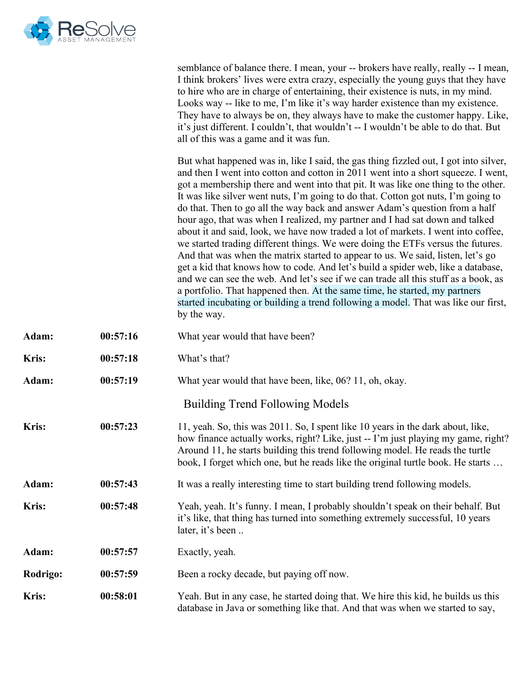

|                 |          | semblance of balance there. I mean, your -- brokers have really, really -- I mean,<br>I think brokers' lives were extra crazy, especially the young guys that they have<br>to hire who are in charge of entertaining, their existence is nuts, in my mind.<br>Looks way -- like to me, I'm like it's way harder existence than my existence.<br>They have to always be on, they always have to make the customer happy. Like,<br>it's just different. I couldn't, that wouldn't -- I wouldn't be able to do that. But<br>all of this was a game and it was fun.                                                                                                                                                                                                                                                                                                                                                                                                                                                                                                                                                                             |
|-----------------|----------|---------------------------------------------------------------------------------------------------------------------------------------------------------------------------------------------------------------------------------------------------------------------------------------------------------------------------------------------------------------------------------------------------------------------------------------------------------------------------------------------------------------------------------------------------------------------------------------------------------------------------------------------------------------------------------------------------------------------------------------------------------------------------------------------------------------------------------------------------------------------------------------------------------------------------------------------------------------------------------------------------------------------------------------------------------------------------------------------------------------------------------------------|
|                 |          | But what happened was in, like I said, the gas thing fizzled out, I got into silver,<br>and then I went into cotton and cotton in 2011 went into a short squeeze. I went,<br>got a membership there and went into that pit. It was like one thing to the other.<br>It was like silver went nuts, I'm going to do that. Cotton got nuts, I'm going to<br>do that. Then to go all the way back and answer Adam's question from a half<br>hour ago, that was when I realized, my partner and I had sat down and talked<br>about it and said, look, we have now traded a lot of markets. I went into coffee,<br>we started trading different things. We were doing the ETFs versus the futures.<br>And that was when the matrix started to appear to us. We said, listen, let's go<br>get a kid that knows how to code. And let's build a spider web, like a database,<br>and we can see the web. And let's see if we can trade all this stuff as a book, as<br>a portfolio. That happened then. At the same time, he started, my partners<br>started incubating or building a trend following a model. That was like our first,<br>by the way. |
| Adam:           | 00:57:16 | What year would that have been?                                                                                                                                                                                                                                                                                                                                                                                                                                                                                                                                                                                                                                                                                                                                                                                                                                                                                                                                                                                                                                                                                                             |
| Kris:           | 00:57:18 | What's that?                                                                                                                                                                                                                                                                                                                                                                                                                                                                                                                                                                                                                                                                                                                                                                                                                                                                                                                                                                                                                                                                                                                                |
| Adam:           | 00:57:19 | What year would that have been, like, 06? 11, oh, okay.                                                                                                                                                                                                                                                                                                                                                                                                                                                                                                                                                                                                                                                                                                                                                                                                                                                                                                                                                                                                                                                                                     |
|                 |          | <b>Building Trend Following Models</b>                                                                                                                                                                                                                                                                                                                                                                                                                                                                                                                                                                                                                                                                                                                                                                                                                                                                                                                                                                                                                                                                                                      |
| Kris:           | 00:57:23 | 11, yeah. So, this was 2011. So, I spent like 10 years in the dark about, like,<br>how finance actually works, right? Like, just -- I'm just playing my game, right?<br>Around 11, he starts building this trend following model. He reads the turtle<br>book, I forget which one, but he reads like the original turtle book. He starts                                                                                                                                                                                                                                                                                                                                                                                                                                                                                                                                                                                                                                                                                                                                                                                                    |
| <b>Adam:</b>    | 00:57:43 | It was a really interesting time to start building trend following models.                                                                                                                                                                                                                                                                                                                                                                                                                                                                                                                                                                                                                                                                                                                                                                                                                                                                                                                                                                                                                                                                  |
| Kris:           | 00:57:48 | Yeah, yeah. It's funny. I mean, I probably shouldn't speak on their behalf. But<br>it's like, that thing has turned into something extremely successful, 10 years<br>later, it's been                                                                                                                                                                                                                                                                                                                                                                                                                                                                                                                                                                                                                                                                                                                                                                                                                                                                                                                                                       |
| Adam:           | 00:57:57 | Exactly, yeah.                                                                                                                                                                                                                                                                                                                                                                                                                                                                                                                                                                                                                                                                                                                                                                                                                                                                                                                                                                                                                                                                                                                              |
| <b>Rodrigo:</b> | 00:57:59 | Been a rocky decade, but paying off now.                                                                                                                                                                                                                                                                                                                                                                                                                                                                                                                                                                                                                                                                                                                                                                                                                                                                                                                                                                                                                                                                                                    |
| Kris:           | 00:58:01 | Yeah. But in any case, he started doing that. We hire this kid, he builds us this<br>database in Java or something like that. And that was when we started to say,                                                                                                                                                                                                                                                                                                                                                                                                                                                                                                                                                                                                                                                                                                                                                                                                                                                                                                                                                                          |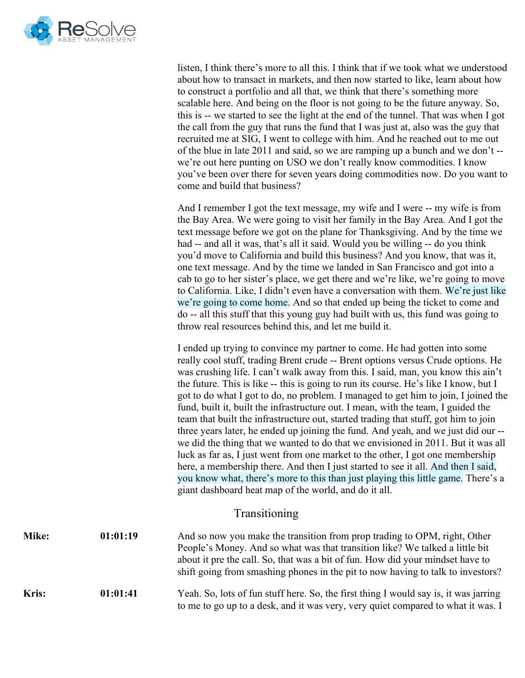

| listen, I think there's more to all this. I think that if we took what we understood |
|--------------------------------------------------------------------------------------|
| about how to transact in markets, and then now started to like, learn about how      |
| to construct a portfolio and all that, we think that there's something more          |
| scalable here. And being on the floor is not going to be the future anyway. So,      |
| this is -- we started to see the light at the end of the tunnel. That was when I got |
| the call from the guy that runs the fund that I was just at, also was the guy that   |
| recruited me at SIG, I went to college with him. And he reached out to me out        |
| of the blue in late 2011 and said, so we are ramping up a bunch and we don't --      |
| we're out here punting on USO we don't really know commodities. I know               |
| you've been over there for seven years doing commodities now. Do you want to         |
| come and build that business?                                                        |

And I remember I got the text message, my wife and I were -- my wife is from the Bay Area. We were going to visit her family in the Bay Area. And I got the text message before we got on the plane for Thanksgiving. And by the time we had -- and all it was, that's all it said. Would you be willing -- do you think you'd move to California and build this business? And you know, that was it, one text message. And by the time we landed in San Francisco and got into a cab to go to her sister's place, we get there and we're like, we're going to move to California. Like, I didn't even have a conversation with them. We're just like we're going to come home. And so that ended up being the ticket to come and do -- all this stuff that this young guy had built with us, this fund was going to throw real resources behind this, and let me build it.

I ended up trying to convince my partner to come. He had gotten into some really cool stuff, trading Brent crude -- Brent options versus Crude options. He was crushing life. I can't walk away from this. I said, man, you know this ain't the future. This is like -- this is going to run its course. He's like I know, but I got to do what I got to do, no problem. I managed to get him to join, I joined the fund, built it, built the infrastructure out. I mean, with the team, I guided the team that built the infrastructure out, started trading that stuff, got him to join three years later, he ended up joining the fund. And yeah, and we just did our - we did the thing that we wanted to do that we envisioned in 2011. But it was all luck as far as, I just went from one market to the other, I got one membership here, a membership there. And then I just started to see it all. And then I said, you know what, there's more to this than just playing this little game. There's a giant dashboard heat map of the world, and do it all.

## Transitioning

| Mike:        | 01:01:19 | And so now you make the transition from prop trading to OPM, right, Other<br>People's Money. And so what was that transition like? We talked a little bit<br>about it pre the call. So, that was a bit of fun. How did your mindset have to<br>shift going from smashing phones in the pit to now having to talk to investors? |
|--------------|----------|--------------------------------------------------------------------------------------------------------------------------------------------------------------------------------------------------------------------------------------------------------------------------------------------------------------------------------|
| <b>Kris:</b> | 01:01:41 | Yeah. So, lots of fun stuff here. So, the first thing I would say is, it was jarring<br>to me to go up to a desk, and it was very, very quiet compared to what it was. I                                                                                                                                                       |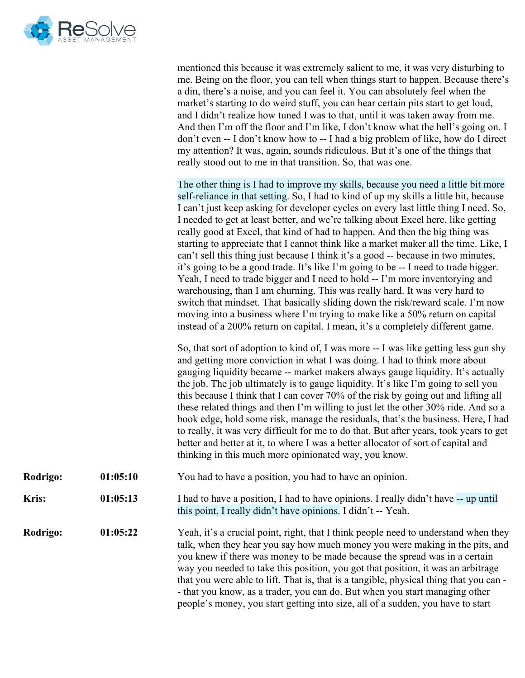

|          |          | mentioned this because it was extremely salient to me, it was very disturbing to<br>me. Being on the floor, you can tell when things start to happen. Because there's<br>a din, there's a noise, and you can feel it. You can absolutely feel when the<br>market's starting to do weird stuff, you can hear certain pits start to get loud,<br>and I didn't realize how tuned I was to that, until it was taken away from me.<br>And then I'm off the floor and I'm like, I don't know what the hell's going on. I<br>don't even -- I don't know how to -- I had a big problem of like, how do I direct<br>my attention? It was, again, sounds ridiculous. But it's one of the things that<br>really stood out to me in that transition. So, that was one.                                                                                                                                                                                                                                                                                                                                                                      |
|----------|----------|---------------------------------------------------------------------------------------------------------------------------------------------------------------------------------------------------------------------------------------------------------------------------------------------------------------------------------------------------------------------------------------------------------------------------------------------------------------------------------------------------------------------------------------------------------------------------------------------------------------------------------------------------------------------------------------------------------------------------------------------------------------------------------------------------------------------------------------------------------------------------------------------------------------------------------------------------------------------------------------------------------------------------------------------------------------------------------------------------------------------------------|
|          |          | The other thing is I had to improve my skills, because you need a little bit more<br>self-reliance in that setting. So, I had to kind of up my skills a little bit, because<br>I can't just keep asking for developer cycles on every last little thing I need. So,<br>I needed to get at least better, and we're talking about Excel here, like getting<br>really good at Excel, that kind of had to happen. And then the big thing was<br>starting to appreciate that I cannot think like a market maker all the time. Like, I<br>can't sell this thing just because I think it's a good -- because in two minutes,<br>it's going to be a good trade. It's like I'm going to be -- I need to trade bigger.<br>Yeah, I need to trade bigger and I need to hold -- I'm more inventorying and<br>warehousing, than I am churning. This was really hard. It was very hard to<br>switch that mindset. That basically sliding down the risk/reward scale. I'm now<br>moving into a business where I'm trying to make like a 50% return on capital<br>instead of a 200% return on capital. I mean, it's a completely different game. |
|          |          | So, that sort of adoption to kind of, I was more -- I was like getting less gun shy<br>and getting more conviction in what I was doing. I had to think more about<br>gauging liquidity became -- market makers always gauge liquidity. It's actually<br>the job. The job ultimately is to gauge liquidity. It's like I'm going to sell you<br>this because I think that I can cover 70% of the risk by going out and lifting all<br>these related things and then I'm willing to just let the other 30% ride. And so a<br>book edge, hold some risk, manage the residuals, that's the business. Here, I had<br>to really, it was very difficult for me to do that. But after years, took years to get<br>better and better at it, to where I was a better allocator of sort of capital and<br>thinking in this much more opinionated way, you know.                                                                                                                                                                                                                                                                             |
| Rodrigo: | 01:05:10 | You had to have a position, you had to have an opinion.                                                                                                                                                                                                                                                                                                                                                                                                                                                                                                                                                                                                                                                                                                                                                                                                                                                                                                                                                                                                                                                                         |
| Kris:    | 01:05:13 | I had to have a position, I had to have opinions. I really didn't have -- up until<br>this point, I really didn't have opinions. I didn't -- Yeah.                                                                                                                                                                                                                                                                                                                                                                                                                                                                                                                                                                                                                                                                                                                                                                                                                                                                                                                                                                              |
| Rodrigo: | 01:05:22 | Yeah, it's a crucial point, right, that I think people need to understand when they<br>talk, when they hear you say how much money you were making in the pits, and<br>you knew if there was money to be made because the spread was in a certain<br>way you needed to take this position, you got that position, it was an arbitrage<br>that you were able to lift. That is, that is a tangible, physical thing that you can -<br>- that you know, as a trader, you can do. But when you start managing other<br>people's money, you start getting into size, all of a sudden, you have to start                                                                                                                                                                                                                                                                                                                                                                                                                                                                                                                               |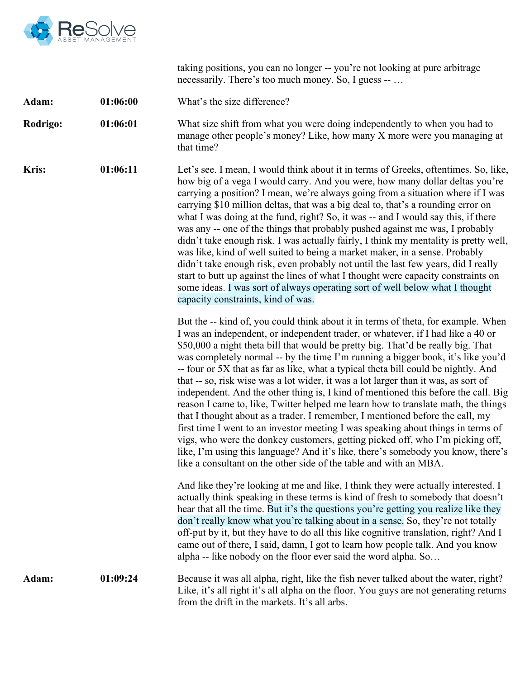

taking positions, you can no longer -- you're not looking at pure arbitrage necessarily. There's too much money. So, I guess -- …

| What's the size difference?<br>01:06:00<br>Adam: |
|--------------------------------------------------|
|--------------------------------------------------|

**Rodrigo: 01:06:01** What size shift from what you were doing independently to when you had to manage other people's money? Like, how many X more were you managing at that time?

**Kris: 01:06:11** Let's see. I mean, I would think about it in terms of Greeks, oftentimes. So, like, how big of a vega I would carry. And you were, how many dollar deltas you're carrying a position? I mean, we're always going from a situation where if I was carrying \$10 million deltas, that was a big deal to, that's a rounding error on what I was doing at the fund, right? So, it was -- and I would say this, if there was any -- one of the things that probably pushed against me was, I probably didn't take enough risk. I was actually fairly, I think my mentality is pretty well, was like, kind of well suited to being a market maker, in a sense. Probably didn't take enough risk, even probably not until the last few years, did I really start to butt up against the lines of what I thought were capacity constraints on some ideas. I was sort of always operating sort of well below what I thought capacity constraints, kind of was.

> But the -- kind of, you could think about it in terms of theta, for example. When I was an independent, or independent trader, or whatever, if I had like a 40 or \$50,000 a night theta bill that would be pretty big. That'd be really big. That was completely normal -- by the time I'm running a bigger book, it's like you'd -- four or 5X that as far as like, what a typical theta bill could be nightly. And that -- so, risk wise was a lot wider, it was a lot larger than it was, as sort of independent. And the other thing is, I kind of mentioned this before the call. Big reason I came to, like, Twitter helped me learn how to translate math, the things that I thought about as a trader. I remember, I mentioned before the call, my first time I went to an investor meeting I was speaking about things in terms of vigs, who were the donkey customers, getting picked off, who I'm picking off, like, I'm using this language? And it's like, there's somebody you know, there's like a consultant on the other side of the table and with an MBA.

And like they're looking at me and like, I think they were actually interested. I actually think speaking in these terms is kind of fresh to somebody that doesn't hear that all the time. But it's the questions you're getting you realize like they don't really know what you're talking about in a sense. So, they're not totally off-put by it, but they have to do all this like cognitive translation, right? And I came out of there, I said, damn, I got to learn how people talk. And you know alpha -- like nobody on the floor ever said the word alpha. So…

**Adam: 01:09:24** Because it was all alpha, right, like the fish never talked about the water, right? Like, it's all right it's all alpha on the floor. You guys are not generating returns from the drift in the markets. It's all arbs.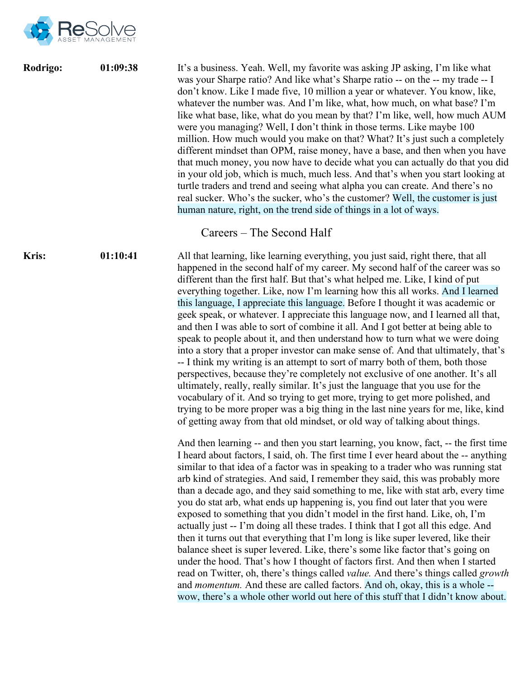

**Rodrigo: 01:09:38** It's a business. Yeah. Well, my favorite was asking JP asking, I'm like what was your Sharpe ratio? And like what's Sharpe ratio -- on the -- my trade -- I don't know. Like I made five, 10 million a year or whatever. You know, like, whatever the number was. And I'm like, what, how much, on what base? I'm like what base, like, what do you mean by that? I'm like, well, how much AUM were you managing? Well, I don't think in those terms. Like maybe 100 million. How much would you make on that? What? It's just such a completely different mindset than OPM, raise money, have a base, and then when you have that much money, you now have to decide what you can actually do that you did in your old job, which is much, much less. And that's when you start looking at turtle traders and trend and seeing what alpha you can create. And there's no real sucker. Who's the sucker, who's the customer? Well, the customer is just human nature, right, on the trend side of things in a lot of ways. Careers – The Second Half **Kris: 01:10:41** All that learning, like learning everything, you just said, right there, that all happened in the second half of my career. My second half of the career was so different than the first half. But that's what helped me. Like, I kind of put everything together. Like, now I'm learning how this all works. And I learned this language, I appreciate this language. Before I thought it was academic or geek speak, or whatever. I appreciate this language now, and I learned all that, and then I was able to sort of combine it all. And I got better at being able to speak to people about it, and then understand how to turn what we were doing into a story that a proper investor can make sense of. And that ultimately, that's -- I think my writing is an attempt to sort of marry both of them, both those perspectives, because they're completely not exclusive of one another. It's all ultimately, really, really similar. It's just the language that you use for the vocabulary of it. And so trying to get more, trying to get more polished, and trying to be more proper was a big thing in the last nine years for me, like, kind of getting away from that old mindset, or old way of talking about things. And then learning -- and then you start learning, you know, fact, -- the first time I heard about factors, I said, oh. The first time I ever heard about the -- anything similar to that idea of a factor was in speaking to a trader who was running stat arb kind of strategies. And said, I remember they said, this was probably more than a decade ago, and they said something to me, like with stat arb, every time you do stat arb, what ends up happening is, you find out later that you were exposed to something that you didn't model in the first hand. Like, oh, I'm actually just -- I'm doing all these trades. I think that I got all this edge. And then it turns out that everything that I'm long is like super levered, like their balance sheet is super levered. Like, there's some like factor that's going on under the hood. That's how I thought of factors first. And then when I started

> and *momentum.* And these are called factors. And oh, okay, this is a whole - wow, there's a whole other world out here of this stuff that I didn't know about.

read on Twitter, oh, there's things called *value.* And there's things called *growth*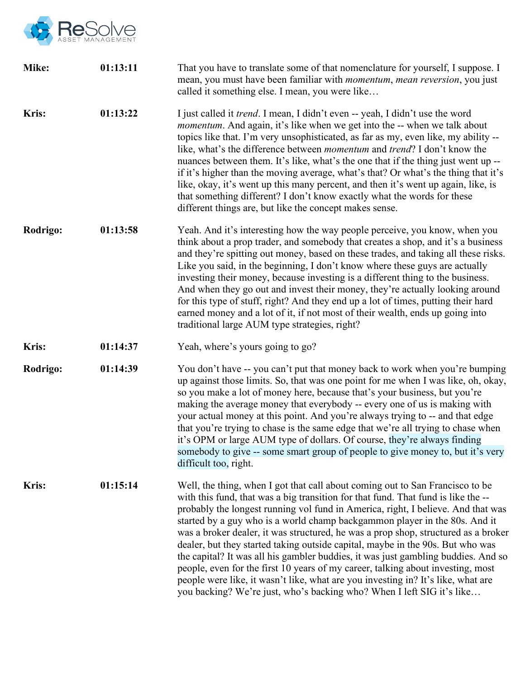

| Mike:        | 01:13:11 | That you have to translate some of that nomenclature for yourself, I suppose. I<br>mean, you must have been familiar with <i>momentum</i> , <i>mean reversion</i> , you just<br>called it something else. I mean, you were like                                                                                                                                                                                                                                                                                                                                                                                                                                                                                                                                                                                                                   |  |
|--------------|----------|---------------------------------------------------------------------------------------------------------------------------------------------------------------------------------------------------------------------------------------------------------------------------------------------------------------------------------------------------------------------------------------------------------------------------------------------------------------------------------------------------------------------------------------------------------------------------------------------------------------------------------------------------------------------------------------------------------------------------------------------------------------------------------------------------------------------------------------------------|--|
| <b>Kris:</b> | 01:13:22 | I just called it <i>trend</i> . I mean, I didn't even -- yeah, I didn't use the word<br><i>momentum</i> . And again, it's like when we get into the -- when we talk about<br>topics like that. I'm very unsophisticated, as far as my, even like, my ability --<br>like, what's the difference between <i>momentum</i> and <i>trend</i> ? I don't know the<br>nuances between them. It's like, what's the one that if the thing just went up --<br>if it's higher than the moving average, what's that? Or what's the thing that it's<br>like, okay, it's went up this many percent, and then it's went up again, like, is<br>that something different? I don't know exactly what the words for these<br>different things are, but like the concept makes sense.                                                                                  |  |
| Rodrigo:     | 01:13:58 | Yeah. And it's interesting how the way people perceive, you know, when you<br>think about a prop trader, and somebody that creates a shop, and it's a business<br>and they're spitting out money, based on these trades, and taking all these risks.<br>Like you said, in the beginning, I don't know where these guys are actually<br>investing their money, because investing is a different thing to the business.<br>And when they go out and invest their money, they're actually looking around<br>for this type of stuff, right? And they end up a lot of times, putting their hard<br>earned money and a lot of it, if not most of their wealth, ends up going into<br>traditional large AUM type strategies, right?                                                                                                                      |  |
| <b>Kris:</b> | 01:14:37 | Yeah, where's yours going to go?                                                                                                                                                                                                                                                                                                                                                                                                                                                                                                                                                                                                                                                                                                                                                                                                                  |  |
| Rodrigo:     | 01:14:39 | You don't have -- you can't put that money back to work when you're bumping<br>up against those limits. So, that was one point for me when I was like, oh, okay,<br>so you make a lot of money here, because that's your business, but you're<br>making the average money that everybody -- every one of us is making with<br>your actual money at this point. And you're always trying to -- and that edge<br>that you're trying to chase is the same edge that we're all trying to chase when<br>it's OPM or large AUM type of dollars. Of course, they're always finding<br>somebody to give -- some smart group of people to give money to, but it's very<br>difficult too, right.                                                                                                                                                            |  |
| <b>Kris:</b> | 01:15:14 | Well, the thing, when I got that call about coming out to San Francisco to be<br>with this fund, that was a big transition for that fund. That fund is like the --<br>probably the longest running vol fund in America, right, I believe. And that was<br>started by a guy who is a world champ backgammon player in the 80s. And it<br>was a broker dealer, it was structured, he was a prop shop, structured as a broker<br>dealer, but they started taking outside capital, maybe in the 90s. But who was<br>the capital? It was all his gambler buddies, it was just gambling buddies. And so<br>people, even for the first 10 years of my career, talking about investing, most<br>people were like, it wasn't like, what are you investing in? It's like, what are<br>you backing? We're just, who's backing who? When I left SIG it's like |  |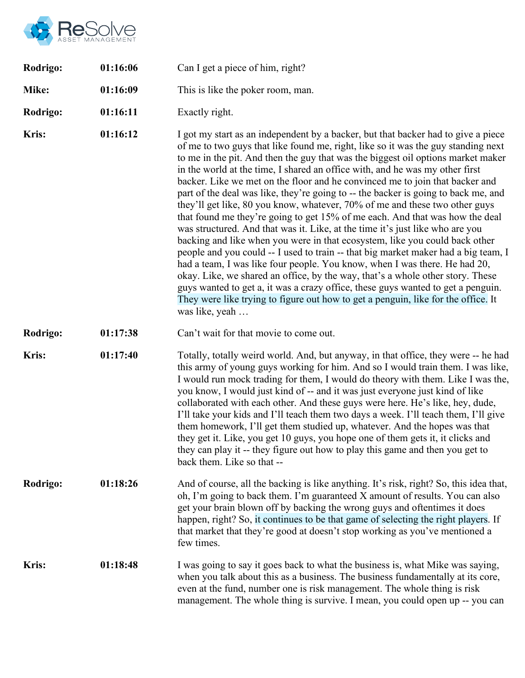

| Rodrigo:     | 01:16:06 | Can I get a piece of him, right?                                                                                                                                                                                                                                                                                                                                                                                                                                                                                                                                                                                                                                                                                                                                                                                                                                                                                                                                                                                                                                                                                                                                                                                                                                                                 |  |
|--------------|----------|--------------------------------------------------------------------------------------------------------------------------------------------------------------------------------------------------------------------------------------------------------------------------------------------------------------------------------------------------------------------------------------------------------------------------------------------------------------------------------------------------------------------------------------------------------------------------------------------------------------------------------------------------------------------------------------------------------------------------------------------------------------------------------------------------------------------------------------------------------------------------------------------------------------------------------------------------------------------------------------------------------------------------------------------------------------------------------------------------------------------------------------------------------------------------------------------------------------------------------------------------------------------------------------------------|--|
| Mike:        | 01:16:09 | This is like the poker room, man.                                                                                                                                                                                                                                                                                                                                                                                                                                                                                                                                                                                                                                                                                                                                                                                                                                                                                                                                                                                                                                                                                                                                                                                                                                                                |  |
| Rodrigo:     | 01:16:11 | Exactly right.                                                                                                                                                                                                                                                                                                                                                                                                                                                                                                                                                                                                                                                                                                                                                                                                                                                                                                                                                                                                                                                                                                                                                                                                                                                                                   |  |
| <b>Kris:</b> | 01:16:12 | I got my start as an independent by a backer, but that backer had to give a piece<br>of me to two guys that like found me, right, like so it was the guy standing next<br>to me in the pit. And then the guy that was the biggest oil options market maker<br>in the world at the time, I shared an office with, and he was my other first<br>backer. Like we met on the floor and he convinced me to join that backer and<br>part of the deal was like, they're going to -- the backer is going to back me, and<br>they'll get like, 80 you know, whatever, 70% of me and these two other guys<br>that found me they're going to get 15% of me each. And that was how the deal<br>was structured. And that was it. Like, at the time it's just like who are you<br>backing and like when you were in that ecosystem, like you could back other<br>people and you could -- I used to train -- that big market maker had a big team, I<br>had a team, I was like four people. You know, when I was there. He had 20,<br>okay. Like, we shared an office, by the way, that's a whole other story. These<br>guys wanted to get a, it was a crazy office, these guys wanted to get a penguin.<br>They were like trying to figure out how to get a penguin, like for the office. It<br>was like, yeah |  |
| Rodrigo:     | 01:17:38 | Can't wait for that movie to come out.                                                                                                                                                                                                                                                                                                                                                                                                                                                                                                                                                                                                                                                                                                                                                                                                                                                                                                                                                                                                                                                                                                                                                                                                                                                           |  |
| <b>Kris:</b> | 01:17:40 | Totally, totally weird world. And, but anyway, in that office, they were -- he had<br>this army of young guys working for him. And so I would train them. I was like,<br>I would run mock trading for them, I would do theory with them. Like I was the,<br>you know, I would just kind of -- and it was just everyone just kind of like<br>collaborated with each other. And these guys were here. He's like, hey, dude,<br>I'll take your kids and I'll teach them two days a week. I'll teach them, I'll give<br>them homework, I'll get them studied up, whatever. And the hopes was that<br>they get it. Like, you get 10 guys, you hope one of them gets it, it clicks and<br>they can play it -- they figure out how to play this game and then you get to<br>back them. Like so that --                                                                                                                                                                                                                                                                                                                                                                                                                                                                                                  |  |
| Rodrigo:     | 01:18:26 | And of course, all the backing is like anything. It's risk, right? So, this idea that,<br>oh, I'm going to back them. I'm guaranteed X amount of results. You can also<br>get your brain blown off by backing the wrong guys and oftentimes it does<br>happen, right? So, it continues to be that game of selecting the right players. If<br>that market that they're good at doesn't stop working as you've mentioned a<br>few times.                                                                                                                                                                                                                                                                                                                                                                                                                                                                                                                                                                                                                                                                                                                                                                                                                                                           |  |
| <b>Kris:</b> | 01:18:48 | I was going to say it goes back to what the business is, what Mike was saying,<br>when you talk about this as a business. The business fundamentally at its core,<br>even at the fund, number one is risk management. The whole thing is risk<br>management. The whole thing is survive. I mean, you could open up -- you can                                                                                                                                                                                                                                                                                                                                                                                                                                                                                                                                                                                                                                                                                                                                                                                                                                                                                                                                                                    |  |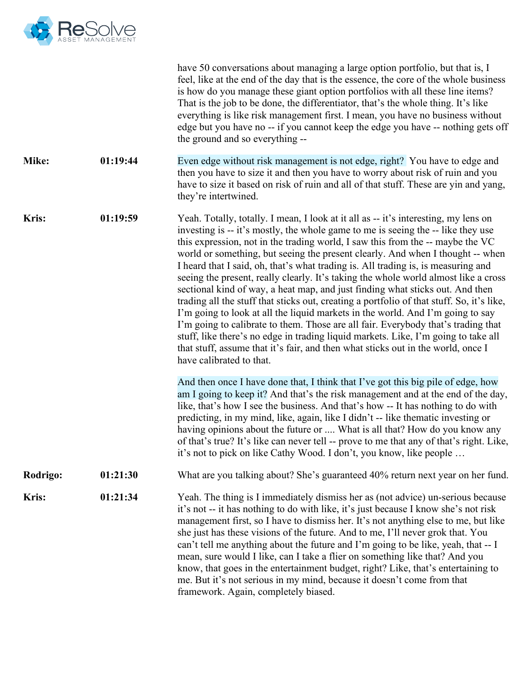

|              |          | have 50 conversations about managing a large option portfolio, but that is, I<br>feel, like at the end of the day that is the essence, the core of the whole business<br>is how do you manage these giant option portfolios with all these line items?<br>That is the job to be done, the differentiator, that's the whole thing. It's like<br>everything is like risk management first. I mean, you have no business without<br>edge but you have no -- if you cannot keep the edge you have -- nothing gets off<br>the ground and so everything --                                                                                                                                                                                                                                                                                                                                                                                                                                                                                                                               |
|--------------|----------|------------------------------------------------------------------------------------------------------------------------------------------------------------------------------------------------------------------------------------------------------------------------------------------------------------------------------------------------------------------------------------------------------------------------------------------------------------------------------------------------------------------------------------------------------------------------------------------------------------------------------------------------------------------------------------------------------------------------------------------------------------------------------------------------------------------------------------------------------------------------------------------------------------------------------------------------------------------------------------------------------------------------------------------------------------------------------------|
| Mike:        | 01:19:44 | Even edge without risk management is not edge, right? You have to edge and<br>then you have to size it and then you have to worry about risk of ruin and you<br>have to size it based on risk of ruin and all of that stuff. These are yin and yang,<br>they're intertwined.                                                                                                                                                                                                                                                                                                                                                                                                                                                                                                                                                                                                                                                                                                                                                                                                       |
| Kris:        | 01:19:59 | Yeah. Totally, totally. I mean, I look at it all as -- it's interesting, my lens on<br>investing is -- it's mostly, the whole game to me is seeing the -- like they use<br>this expression, not in the trading world, I saw this from the -- maybe the VC<br>world or something, but seeing the present clearly. And when I thought -- when<br>I heard that I said, oh, that's what trading is. All trading is, is measuring and<br>seeing the present, really clearly. It's taking the whole world almost like a cross<br>sectional kind of way, a heat map, and just finding what sticks out. And then<br>trading all the stuff that sticks out, creating a portfolio of that stuff. So, it's like,<br>I'm going to look at all the liquid markets in the world. And I'm going to say<br>I'm going to calibrate to them. Those are all fair. Everybody that's trading that<br>stuff, like there's no edge in trading liquid markets. Like, I'm going to take all<br>that stuff, assume that it's fair, and then what sticks out in the world, once I<br>have calibrated to that. |
|              |          | And then once I have done that, I think that I've got this big pile of edge, how<br>am I going to keep it? And that's the risk management and at the end of the day,<br>like, that's how I see the business. And that's how -- It has nothing to do with<br>predicting, in my mind, like, again, like I didn't -- like thematic investing or<br>having opinions about the future or  What is all that? How do you know any<br>of that's true? It's like can never tell -- prove to me that any of that's right. Like,<br>it's not to pick on like Cathy Wood. I don't, you know, like people                                                                                                                                                                                                                                                                                                                                                                                                                                                                                       |
| Rodrigo:     | 01:21:30 | What are you talking about? She's guaranteed 40% return next year on her fund.                                                                                                                                                                                                                                                                                                                                                                                                                                                                                                                                                                                                                                                                                                                                                                                                                                                                                                                                                                                                     |
| <b>Kris:</b> | 01:21:34 | Yeah. The thing is I immediately dismiss her as (not advice) un-serious because<br>it's not -- it has nothing to do with like, it's just because I know she's not risk<br>management first, so I have to dismiss her. It's not anything else to me, but like<br>she just has these visions of the future. And to me, I'll never grok that. You<br>can't tell me anything about the future and I'm going to be like, yeah, that -- I<br>mean, sure would I like, can I take a flier on something like that? And you<br>know, that goes in the entertainment budget, right? Like, that's entertaining to<br>me. But it's not serious in my mind, because it doesn't come from that<br>framework. Again, completely biased.                                                                                                                                                                                                                                                                                                                                                           |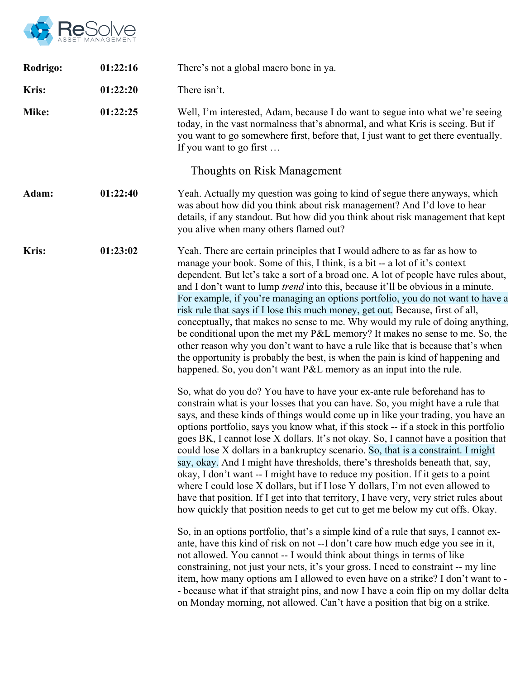

| Rodrigo:     | 01:22:16 | There's not a global macro bone in ya.                                                                                                                                                                                                                                                                                                                                                                                                                                                                                                                                                                                                                                                                                                                                                                                                                                                                                                                                                                                                                                                                                                                                                                |  |
|--------------|----------|-------------------------------------------------------------------------------------------------------------------------------------------------------------------------------------------------------------------------------------------------------------------------------------------------------------------------------------------------------------------------------------------------------------------------------------------------------------------------------------------------------------------------------------------------------------------------------------------------------------------------------------------------------------------------------------------------------------------------------------------------------------------------------------------------------------------------------------------------------------------------------------------------------------------------------------------------------------------------------------------------------------------------------------------------------------------------------------------------------------------------------------------------------------------------------------------------------|--|
| <b>Kris:</b> | 01:22:20 | There isn't.                                                                                                                                                                                                                                                                                                                                                                                                                                                                                                                                                                                                                                                                                                                                                                                                                                                                                                                                                                                                                                                                                                                                                                                          |  |
| Mike:        | 01:22:25 | Well, I'm interested, Adam, because I do want to segue into what we're seeing<br>today, in the vast normalness that's abnormal, and what Kris is seeing. But if<br>you want to go somewhere first, before that, I just want to get there eventually.<br>If you want to go first                                                                                                                                                                                                                                                                                                                                                                                                                                                                                                                                                                                                                                                                                                                                                                                                                                                                                                                       |  |
|              |          | Thoughts on Risk Management                                                                                                                                                                                                                                                                                                                                                                                                                                                                                                                                                                                                                                                                                                                                                                                                                                                                                                                                                                                                                                                                                                                                                                           |  |
| Adam:        | 01:22:40 | Yeah. Actually my question was going to kind of segue there anyways, which<br>was about how did you think about risk management? And I'd love to hear<br>details, if any standout. But how did you think about risk management that kept<br>you alive when many others flamed out?                                                                                                                                                                                                                                                                                                                                                                                                                                                                                                                                                                                                                                                                                                                                                                                                                                                                                                                    |  |
| <b>Kris:</b> | 01:23:02 | Yeah. There are certain principles that I would adhere to as far as how to<br>manage your book. Some of this, I think, is a bit -- a lot of it's context<br>dependent. But let's take a sort of a broad one. A lot of people have rules about,<br>and I don't want to lump <i>trend</i> into this, because it'll be obvious in a minute.<br>For example, if you're managing an options portfolio, you do not want to have a<br>risk rule that says if I lose this much money, get out. Because, first of all,<br>conceptually, that makes no sense to me. Why would my rule of doing anything,<br>be conditional upon the met my P&L memory? It makes no sense to me. So, the<br>other reason why you don't want to have a rule like that is because that's when<br>the opportunity is probably the best, is when the pain is kind of happening and<br>happened. So, you don't want P&L memory as an input into the rule.                                                                                                                                                                                                                                                                             |  |
|              |          | So, what do you do? You have to have your ex-ante rule beforehand has to<br>constrain what is your losses that you can have. So, you might have a rule that<br>says, and these kinds of things would come up in like your trading, you have an<br>options portfolio, says you know what, if this stock -- if a stock in this portfolio<br>goes BK, I cannot lose X dollars. It's not okay. So, I cannot have a position that<br>could lose X dollars in a bankruptcy scenario. So, that is a constraint. I might<br>say, okay. And I might have thresholds, there's thresholds beneath that, say,<br>okay, I don't want -- I might have to reduce my position. If it gets to a point<br>where I could lose X dollars, but if I lose Y dollars, I'm not even allowed to<br>have that position. If I get into that territory, I have very, very strict rules about<br>how quickly that position needs to get cut to get me below my cut offs. Okay.<br>So, in an options portfolio, that's a simple kind of a rule that says, I cannot ex-<br>ante, have this kind of risk on not --I don't care how much edge you see in it,<br>not allowed. You cannot -- I would think about things in terms of like |  |
|              |          | constraining, not just your nets, it's your gross. I need to constraint -- my line<br>item, how many options am I allowed to even have on a strike? I don't want to -<br>- because what if that straight pins, and now I have a coin flip on my dollar delta<br>on Monday morning, not allowed. Can't have a position that big on a strike.                                                                                                                                                                                                                                                                                                                                                                                                                                                                                                                                                                                                                                                                                                                                                                                                                                                           |  |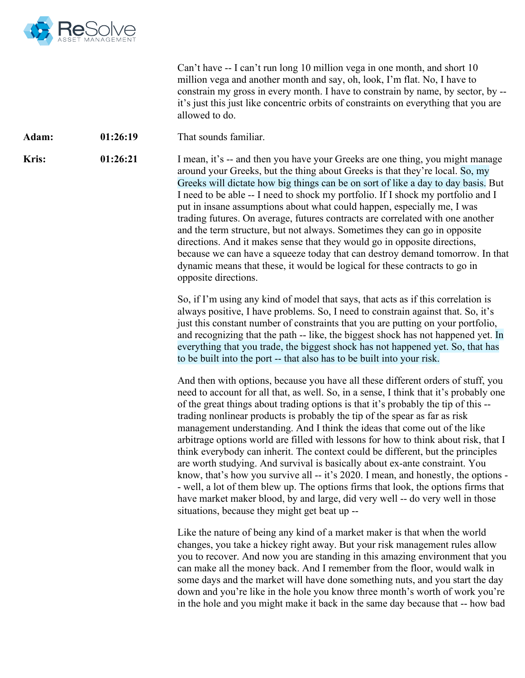

Can't have -- I can't run long 10 million vega in one month, and short 10 million vega and another month and say, oh, look, I'm flat. No, I have to constrain my gross in every month. I have to constrain by name, by sector, by - it's just this just like concentric orbits of constraints on everything that you are allowed to do.

Adam: 01:26:19 That sounds familiar.

**Kris:** 01:26:21 I mean, it's -- and then you have your Greeks are one thing, you might manage around your Greeks, but the thing about Greeks is that they're local. So, my Greeks will dictate how big things can be on sort of like a day to day basis. But I need to be able -- I need to shock my portfolio. If I shock my portfolio and I put in insane assumptions about what could happen, especially me, I was trading futures. On average, futures contracts are correlated with one another and the term structure, but not always. Sometimes they can go in opposite directions. And it makes sense that they would go in opposite directions, because we can have a squeeze today that can destroy demand tomorrow. In that dynamic means that these, it would be logical for these contracts to go in opposite directions.

> So, if I'm using any kind of model that says, that acts as if this correlation is always positive, I have problems. So, I need to constrain against that. So, it's just this constant number of constraints that you are putting on your portfolio, and recognizing that the path -- like, the biggest shock has not happened yet. In everything that you trade, the biggest shock has not happened yet. So, that has to be built into the port -- that also has to be built into your risk.

And then with options, because you have all these different orders of stuff, you need to account for all that, as well. So, in a sense, I think that it's probably one of the great things about trading options is that it's probably the tip of this - trading nonlinear products is probably the tip of the spear as far as risk management understanding. And I think the ideas that come out of the like arbitrage options world are filled with lessons for how to think about risk, that I think everybody can inherit. The context could be different, but the principles are worth studying. And survival is basically about ex-ante constraint. You know, that's how you survive all -- it's 2020. I mean, and honestly, the options - - well, a lot of them blew up. The options firms that look, the options firms that have market maker blood, by and large, did very well -- do very well in those situations, because they might get beat up --

Like the nature of being any kind of a market maker is that when the world changes, you take a hickey right away. But your risk management rules allow you to recover. And now you are standing in this amazing environment that you can make all the money back. And I remember from the floor, would walk in some days and the market will have done something nuts, and you start the day down and you're like in the hole you know three month's worth of work you're in the hole and you might make it back in the same day because that -- how bad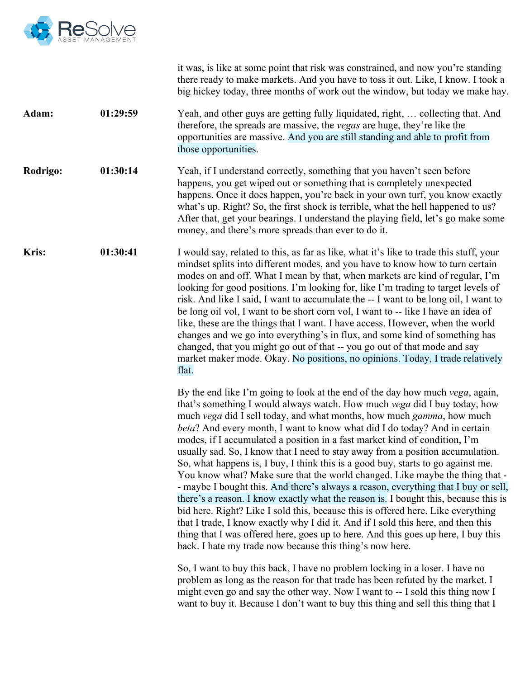

|              |          | it was, is like at some point that risk was constrained, and now you're standing<br>there ready to make markets. And you have to toss it out. Like, I know. I took a<br>big hickey today, three months of work out the window, but today we make hay.                                                                                                                                                                                                                                                                                                                                                                                                                                                                                                                                                                                                                                                                                                                                                                                                                                                                                                               |
|--------------|----------|---------------------------------------------------------------------------------------------------------------------------------------------------------------------------------------------------------------------------------------------------------------------------------------------------------------------------------------------------------------------------------------------------------------------------------------------------------------------------------------------------------------------------------------------------------------------------------------------------------------------------------------------------------------------------------------------------------------------------------------------------------------------------------------------------------------------------------------------------------------------------------------------------------------------------------------------------------------------------------------------------------------------------------------------------------------------------------------------------------------------------------------------------------------------|
| Adam:        | 01:29:59 | Yeah, and other guys are getting fully liquidated, right,  collecting that. And<br>therefore, the spreads are massive, the vegas are huge, they're like the<br>opportunities are massive. And you are still standing and able to profit from<br>those opportunities.                                                                                                                                                                                                                                                                                                                                                                                                                                                                                                                                                                                                                                                                                                                                                                                                                                                                                                |
| Rodrigo:     | 01:30:14 | Yeah, if I understand correctly, something that you haven't seen before<br>happens, you get wiped out or something that is completely unexpected<br>happens. Once it does happen, you're back in your own turf, you know exactly<br>what's up. Right? So, the first shock is terrible, what the hell happened to us?<br>After that, get your bearings. I understand the playing field, let's go make some<br>money, and there's more spreads than ever to do it.                                                                                                                                                                                                                                                                                                                                                                                                                                                                                                                                                                                                                                                                                                    |
| <b>Kris:</b> | 01:30:41 | I would say, related to this, as far as like, what it's like to trade this stuff, your<br>mindset splits into different modes, and you have to know how to turn certain<br>modes on and off. What I mean by that, when markets are kind of regular, I'm<br>looking for good positions. I'm looking for, like I'm trading to target levels of<br>risk. And like I said, I want to accumulate the -- I want to be long oil, I want to<br>be long oil vol, I want to be short corn vol, I want to -- like I have an idea of<br>like, these are the things that I want. I have access. However, when the world<br>changes and we go into everything's in flux, and some kind of something has<br>changed, that you might go out of that -- you go out of that mode and say<br>market maker mode. Okay. No positions, no opinions. Today, I trade relatively<br>flat.                                                                                                                                                                                                                                                                                                    |
|              |          | By the end like I'm going to look at the end of the day how much vega, again,<br>that's something I would always watch. How much vega did I buy today, how<br>much vega did I sell today, and what months, how much gamma, how much<br><i>beta</i> ? And every month, I want to know what did I do today? And in certain<br>modes, if I accumulated a position in a fast market kind of condition, I'm<br>usually sad. So, I know that I need to stay away from a position accumulation.<br>So, what happens is, I buy, I think this is a good buy, starts to go against me.<br>You know what? Make sure that the world changed. Like maybe the thing that -<br>- maybe I bought this. And there's always a reason, everything that I buy or sell,<br>there's a reason. I know exactly what the reason is. I bought this, because this is<br>bid here. Right? Like I sold this, because this is offered here. Like everything<br>that I trade, I know exactly why I did it. And if I sold this here, and then this<br>thing that I was offered here, goes up to here. And this goes up here, I buy this<br>back. I hate my trade now because this thing's now here. |
|              |          | So, I want to buy this back, I have no problem locking in a loser. I have no<br>problem as long as the reason for that trade has been refuted by the market. I<br>might even go and say the other way. Now I want to -- I sold this thing now I<br>want to buy it. Because I don't want to buy this thing and sell this thing that I                                                                                                                                                                                                                                                                                                                                                                                                                                                                                                                                                                                                                                                                                                                                                                                                                                |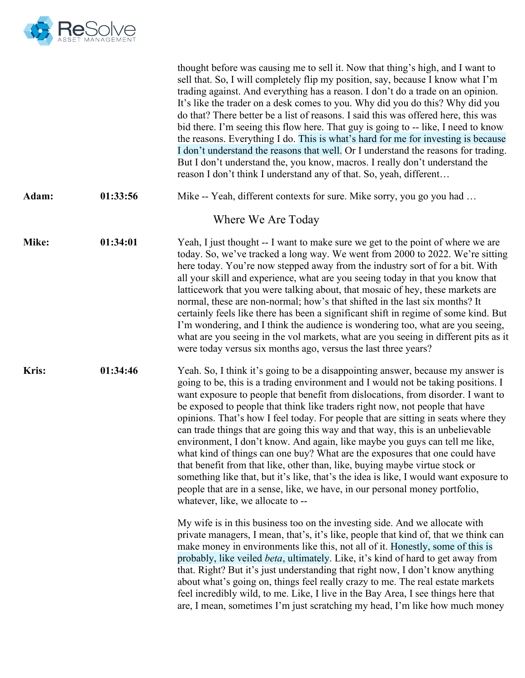

|       |          | thought before was causing me to sell it. Now that thing's high, and I want to<br>sell that. So, I will completely flip my position, say, because I know what I'm<br>trading against. And everything has a reason. I don't do a trade on an opinion.<br>It's like the trader on a desk comes to you. Why did you do this? Why did you<br>do that? There better be a list of reasons. I said this was offered here, this was<br>bid there. I'm seeing this flow here. That guy is going to -- like, I need to know<br>the reasons. Everything I do. This is what's hard for me for investing is because<br>I don't understand the reasons that well. Or I understand the reasons for trading.<br>But I don't understand the, you know, macros. I really don't understand the<br>reason I don't think I understand any of that. So, yeah, different                                                                                                                          |
|-------|----------|----------------------------------------------------------------------------------------------------------------------------------------------------------------------------------------------------------------------------------------------------------------------------------------------------------------------------------------------------------------------------------------------------------------------------------------------------------------------------------------------------------------------------------------------------------------------------------------------------------------------------------------------------------------------------------------------------------------------------------------------------------------------------------------------------------------------------------------------------------------------------------------------------------------------------------------------------------------------------|
| Adam: | 01:33:56 | Mike -- Yeah, different contexts for sure. Mike sorry, you go you had                                                                                                                                                                                                                                                                                                                                                                                                                                                                                                                                                                                                                                                                                                                                                                                                                                                                                                      |
|       |          | Where We Are Today                                                                                                                                                                                                                                                                                                                                                                                                                                                                                                                                                                                                                                                                                                                                                                                                                                                                                                                                                         |
| Mike: | 01:34:01 | Yeah, I just thought -- I want to make sure we get to the point of where we are<br>today. So, we've tracked a long way. We went from 2000 to 2022. We're sitting<br>here today. You're now stepped away from the industry sort of for a bit. With<br>all your skill and experience, what are you seeing today in that you know that<br>latticework that you were talking about, that mosaic of hey, these markets are<br>normal, these are non-normal; how's that shifted in the last six months? It<br>certainly feels like there has been a significant shift in regime of some kind. But<br>I'm wondering, and I think the audience is wondering too, what are you seeing,<br>what are you seeing in the vol markets, what are you seeing in different pits as it<br>were today versus six months ago, versus the last three years?                                                                                                                                     |
| Kris: | 01:34:46 | Yeah. So, I think it's going to be a disappointing answer, because my answer is<br>going to be, this is a trading environment and I would not be taking positions. I<br>want exposure to people that benefit from dislocations, from disorder. I want to<br>be exposed to people that think like traders right now, not people that have<br>opinions. That's how I feel today. For people that are sitting in seats where they<br>can trade things that are going this way and that way, this is an unbelievable<br>environment, I don't know. And again, like maybe you guys can tell me like,<br>what kind of things can one buy? What are the exposures that one could have<br>that benefit from that like, other than, like, buying maybe virtue stock or<br>something like that, but it's like, that's the idea is like, I would want exposure to<br>people that are in a sense, like, we have, in our personal money portfolio,<br>whatever, like, we allocate to -- |
|       |          | My wife is in this business too on the investing side. And we allocate with<br>private managers, I mean, that's, it's like, people that kind of, that we think can<br>make money in environments like this, not all of it. Honestly, some of this is<br>probably, like veiled <i>beta</i> , ultimately. Like, it's kind of hard to get away from<br>that. Right? But it's just understanding that right now, I don't know anything<br>about what's going on, things feel really crazy to me. The real estate markets<br>feel incredibly wild, to me. Like, I live in the Bay Area, I see things here that<br>are, I mean, sometimes I'm just scratching my head, I'm like how much money                                                                                                                                                                                                                                                                                   |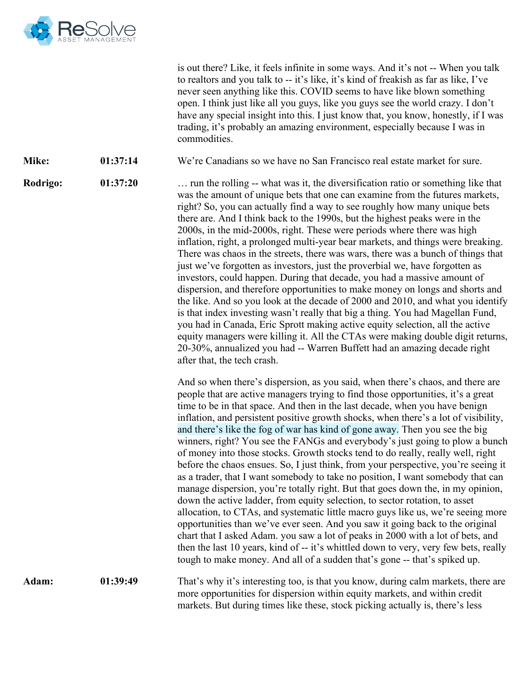

is out there? Like, it feels infinite in some ways. And it's not -- When you talk to realtors and you talk to -- it's like, it's kind of freakish as far as like, I've never seen anything like this. COVID seems to have like blown something open. I think just like all you guys, like you guys see the world crazy. I don't have any special insight into this. I just know that, you know, honestly, if I was trading, it's probably an amazing environment, especially because I was in commodities.

**Mike: 01:37:14** We're Canadians so we have no San Francisco real estate market for sure.

**Rodrigo: 01:37:20** … run the rolling -- what was it, the diversification ratio or something like that was the amount of unique bets that one can examine from the futures markets, right? So, you can actually find a way to see roughly how many unique bets there are. And I think back to the 1990s, but the highest peaks were in the 2000s, in the mid-2000s, right. These were periods where there was high inflation, right, a prolonged multi-year bear markets, and things were breaking. There was chaos in the streets, there was wars, there was a bunch of things that just we've forgotten as investors, just the proverbial we, have forgotten as investors, could happen. During that decade, you had a massive amount of dispersion, and therefore opportunities to make money on longs and shorts and the like. And so you look at the decade of 2000 and 2010, and what you identify is that index investing wasn't really that big a thing. You had Magellan Fund, you had in Canada, Eric Sprott making active equity selection, all the active equity managers were killing it. All the CTAs were making double digit returns, 20-30%, annualized you had -- Warren Buffett had an amazing decade right after that, the tech crash.

> And so when there's dispersion, as you said, when there's chaos, and there are people that are active managers trying to find those opportunities, it's a great time to be in that space. And then in the last decade, when you have benign inflation, and persistent positive growth shocks, when there's a lot of visibility, and there's like the fog of war has kind of gone away. Then you see the big winners, right? You see the FANGs and everybody's just going to plow a bunch of money into those stocks. Growth stocks tend to do really, really well, right before the chaos ensues. So, I just think, from your perspective, you're seeing it as a trader, that I want somebody to take no position, I want somebody that can manage dispersion, you're totally right. But that goes down the, in my opinion, down the active ladder, from equity selection, to sector rotation, to asset allocation, to CTAs, and systematic little macro guys like us, we're seeing more opportunities than we've ever seen. And you saw it going back to the original chart that I asked Adam. you saw a lot of peaks in 2000 with a lot of bets, and then the last 10 years, kind of -- it's whittled down to very, very few bets, really tough to make money. And all of a sudden that's gone -- that's spiked up.

Adam: 01:39:49 That's why it's interesting too, is that you know, during calm markets, there are more opportunities for dispersion within equity markets, and within credit markets. But during times like these, stock picking actually is, there's less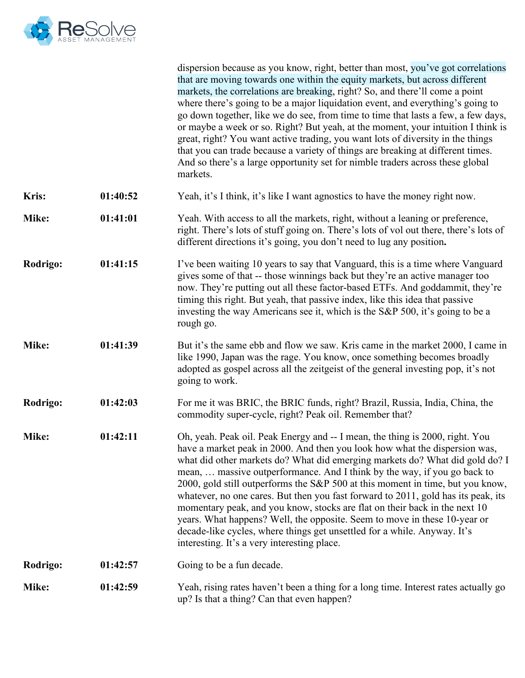

|                 |          | dispersion because as you know, right, better than most, you've got correlations<br>that are moving towards one within the equity markets, but across different<br>markets, the correlations are breaking, right? So, and there'll come a point<br>where there's going to be a major liquidation event, and everything's going to<br>go down together, like we do see, from time to time that lasts a few, a few days,<br>or maybe a week or so. Right? But yeah, at the moment, your intuition I think is<br>great, right? You want active trading, you want lots of diversity in the things<br>that you can trade because a variety of things are breaking at different times.<br>And so there's a large opportunity set for nimble traders across these global<br>markets.       |
|-----------------|----------|-------------------------------------------------------------------------------------------------------------------------------------------------------------------------------------------------------------------------------------------------------------------------------------------------------------------------------------------------------------------------------------------------------------------------------------------------------------------------------------------------------------------------------------------------------------------------------------------------------------------------------------------------------------------------------------------------------------------------------------------------------------------------------------|
| <b>Kris:</b>    | 01:40:52 | Yeah, it's I think, it's like I want agnostics to have the money right now.                                                                                                                                                                                                                                                                                                                                                                                                                                                                                                                                                                                                                                                                                                         |
| Mike:           | 01:41:01 | Yeah. With access to all the markets, right, without a leaning or preference,<br>right. There's lots of stuff going on. There's lots of vol out there, there's lots of<br>different directions it's going, you don't need to lug any position.                                                                                                                                                                                                                                                                                                                                                                                                                                                                                                                                      |
| <b>Rodrigo:</b> | 01:41:15 | I've been waiting 10 years to say that Vanguard, this is a time where Vanguard<br>gives some of that -- those winnings back but they're an active manager too<br>now. They're putting out all these factor-based ETFs. And goddammit, they're<br>timing this right. But yeah, that passive index, like this idea that passive<br>investing the way Americans see it, which is the S&P 500, it's going to be a<br>rough go.                                                                                                                                                                                                                                                                                                                                                          |
| Mike:           | 01:41:39 | But it's the same ebb and flow we saw. Kris came in the market 2000, I came in<br>like 1990, Japan was the rage. You know, once something becomes broadly<br>adopted as gospel across all the zeitgeist of the general investing pop, it's not<br>going to work.                                                                                                                                                                                                                                                                                                                                                                                                                                                                                                                    |
| Rodrigo:        | 01:42:03 | For me it was BRIC, the BRIC funds, right? Brazil, Russia, India, China, the<br>commodity super-cycle, right? Peak oil. Remember that?                                                                                                                                                                                                                                                                                                                                                                                                                                                                                                                                                                                                                                              |
| Mike:           | 01:42:11 | Oh, yeah. Peak oil. Peak Energy and -- I mean, the thing is 2000, right. You<br>have a market peak in 2000. And then you look how what the dispersion was,<br>what did other markets do? What did emerging markets do? What did gold do? I<br>mean,  massive outperformance. And I think by the way, if you go back to<br>2000, gold still outperforms the S&P 500 at this moment in time, but you know,<br>whatever, no one cares. But then you fast forward to 2011, gold has its peak, its<br>momentary peak, and you know, stocks are flat on their back in the next 10<br>years. What happens? Well, the opposite. Seem to move in these 10-year or<br>decade-like cycles, where things get unsettled for a while. Anyway. It's<br>interesting. It's a very interesting place. |
| Rodrigo:        | 01:42:57 | Going to be a fun decade.                                                                                                                                                                                                                                                                                                                                                                                                                                                                                                                                                                                                                                                                                                                                                           |
| Mike:           | 01:42:59 | Yeah, rising rates haven't been a thing for a long time. Interest rates actually go<br>up? Is that a thing? Can that even happen?                                                                                                                                                                                                                                                                                                                                                                                                                                                                                                                                                                                                                                                   |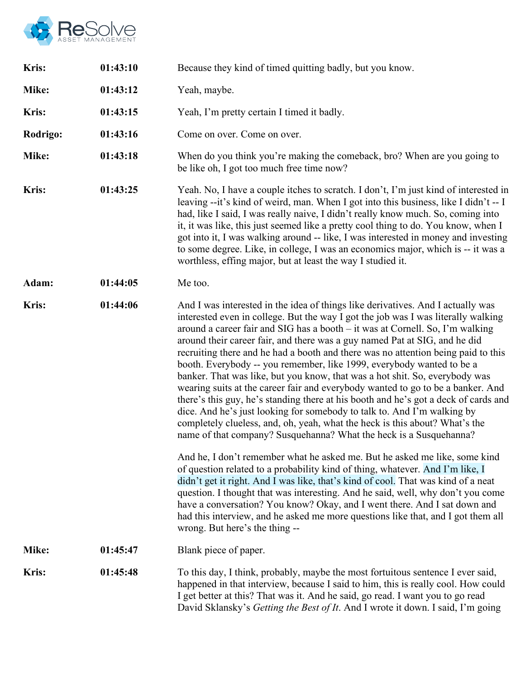

| <b>Kris:</b> | 01:43:10 | Because they kind of timed quitting badly, but you know.                                                                                                                                                                                                                                                                                                                                                                                                                                                                                                                                                                                                                                                                                                                                                                                                                                                                                                                                                                                                                                                                                                                                                                                                                                                                                                                                                                                                                                                                             |  |
|--------------|----------|--------------------------------------------------------------------------------------------------------------------------------------------------------------------------------------------------------------------------------------------------------------------------------------------------------------------------------------------------------------------------------------------------------------------------------------------------------------------------------------------------------------------------------------------------------------------------------------------------------------------------------------------------------------------------------------------------------------------------------------------------------------------------------------------------------------------------------------------------------------------------------------------------------------------------------------------------------------------------------------------------------------------------------------------------------------------------------------------------------------------------------------------------------------------------------------------------------------------------------------------------------------------------------------------------------------------------------------------------------------------------------------------------------------------------------------------------------------------------------------------------------------------------------------|--|
| Mike:        | 01:43:12 | Yeah, maybe.                                                                                                                                                                                                                                                                                                                                                                                                                                                                                                                                                                                                                                                                                                                                                                                                                                                                                                                                                                                                                                                                                                                                                                                                                                                                                                                                                                                                                                                                                                                         |  |
| <b>Kris:</b> | 01:43:15 | Yeah, I'm pretty certain I timed it badly.                                                                                                                                                                                                                                                                                                                                                                                                                                                                                                                                                                                                                                                                                                                                                                                                                                                                                                                                                                                                                                                                                                                                                                                                                                                                                                                                                                                                                                                                                           |  |
| Rodrigo:     | 01:43:16 | Come on over. Come on over.                                                                                                                                                                                                                                                                                                                                                                                                                                                                                                                                                                                                                                                                                                                                                                                                                                                                                                                                                                                                                                                                                                                                                                                                                                                                                                                                                                                                                                                                                                          |  |
| Mike:        | 01:43:18 | When do you think you're making the comeback, bro? When are you going to<br>be like oh, I got too much free time now?                                                                                                                                                                                                                                                                                                                                                                                                                                                                                                                                                                                                                                                                                                                                                                                                                                                                                                                                                                                                                                                                                                                                                                                                                                                                                                                                                                                                                |  |
| <b>Kris:</b> | 01:43:25 | Yeah. No, I have a couple itches to scratch. I don't, I'm just kind of interested in<br>leaving --it's kind of weird, man. When I got into this business, like I didn't -- I<br>had, like I said, I was really naive, I didn't really know much. So, coming into<br>it, it was like, this just seemed like a pretty cool thing to do. You know, when I<br>got into it, I was walking around -- like, I was interested in money and investing<br>to some degree. Like, in college, I was an economics major, which is -- it was a<br>worthless, effing major, but at least the way I studied it.                                                                                                                                                                                                                                                                                                                                                                                                                                                                                                                                                                                                                                                                                                                                                                                                                                                                                                                                      |  |
| Adam:        | 01:44:05 | Me too.                                                                                                                                                                                                                                                                                                                                                                                                                                                                                                                                                                                                                                                                                                                                                                                                                                                                                                                                                                                                                                                                                                                                                                                                                                                                                                                                                                                                                                                                                                                              |  |
| Kris:        | 01:44:06 | And I was interested in the idea of things like derivatives. And I actually was<br>interested even in college. But the way I got the job was I was literally walking<br>around a career fair and SIG has a booth – it was at Cornell. So, I'm walking<br>around their career fair, and there was a guy named Pat at SIG, and he did<br>recruiting there and he had a booth and there was no attention being paid to this<br>booth. Everybody -- you remember, like 1999, everybody wanted to be a<br>banker. That was like, but you know, that was a hot shit. So, everybody was<br>wearing suits at the career fair and everybody wanted to go to be a banker. And<br>there's this guy, he's standing there at his booth and he's got a deck of cards and<br>dice. And he's just looking for somebody to talk to. And I'm walking by<br>completely clueless, and, oh, yeah, what the heck is this about? What's the<br>name of that company? Susquehanna? What the heck is a Susquehanna?<br>And he, I don't remember what he asked me. But he asked me like, some kind<br>of question related to a probability kind of thing, whatever. And I'm like, I<br>didn't get it right. And I was like, that's kind of cool. That was kind of a neat<br>question. I thought that was interesting. And he said, well, why don't you come<br>have a conversation? You know? Okay, and I went there. And I sat down and<br>had this interview, and he asked me more questions like that, and I got them all<br>wrong. But here's the thing -- |  |
| Mike:        | 01:45:47 | Blank piece of paper.                                                                                                                                                                                                                                                                                                                                                                                                                                                                                                                                                                                                                                                                                                                                                                                                                                                                                                                                                                                                                                                                                                                                                                                                                                                                                                                                                                                                                                                                                                                |  |
| <b>Kris:</b> | 01:45:48 | To this day, I think, probably, maybe the most fortuitous sentence I ever said,<br>happened in that interview, because I said to him, this is really cool. How could<br>I get better at this? That was it. And he said, go read. I want you to go read<br>David Sklansky's Getting the Best of It. And I wrote it down. I said, I'm going                                                                                                                                                                                                                                                                                                                                                                                                                                                                                                                                                                                                                                                                                                                                                                                                                                                                                                                                                                                                                                                                                                                                                                                            |  |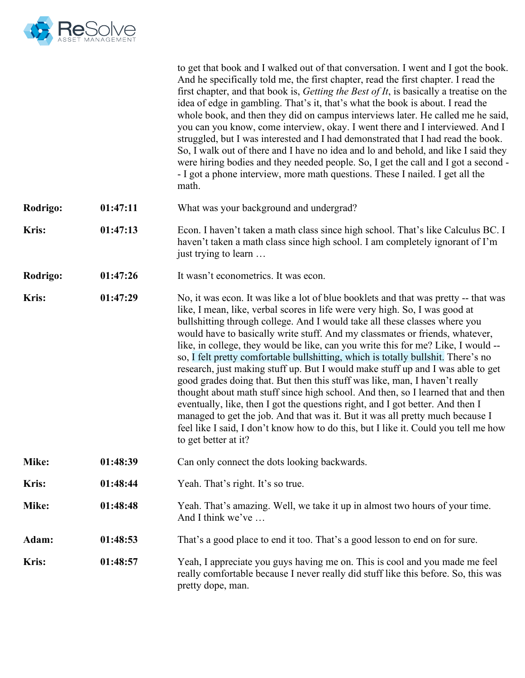

|              |          | to get that book and I walked out of that conversation. I went and I got the book.<br>And he specifically told me, the first chapter, read the first chapter. I read the<br>first chapter, and that book is, <i>Getting the Best of It</i> , is basically a treatise on the<br>idea of edge in gambling. That's it, that's what the book is about. I read the<br>whole book, and then they did on campus interviews later. He called me he said,<br>you can you know, come interview, okay. I went there and I interviewed. And I<br>struggled, but I was interested and I had demonstrated that I had read the book.<br>So, I walk out of there and I have no idea and lo and behold, and like I said they<br>were hiring bodies and they needed people. So, I get the call and I got a second -<br>- I got a phone interview, more math questions. These I nailed. I get all the<br>math.                                                                                                                                                        |
|--------------|----------|----------------------------------------------------------------------------------------------------------------------------------------------------------------------------------------------------------------------------------------------------------------------------------------------------------------------------------------------------------------------------------------------------------------------------------------------------------------------------------------------------------------------------------------------------------------------------------------------------------------------------------------------------------------------------------------------------------------------------------------------------------------------------------------------------------------------------------------------------------------------------------------------------------------------------------------------------------------------------------------------------------------------------------------------------|
| Rodrigo:     | 01:47:11 | What was your background and undergrad?                                                                                                                                                                                                                                                                                                                                                                                                                                                                                                                                                                                                                                                                                                                                                                                                                                                                                                                                                                                                            |
| Kris:        | 01:47:13 | Econ. I haven't taken a math class since high school. That's like Calculus BC. I<br>haven't taken a math class since high school. I am completely ignorant of I'm<br>just trying to learn                                                                                                                                                                                                                                                                                                                                                                                                                                                                                                                                                                                                                                                                                                                                                                                                                                                          |
| Rodrigo:     | 01:47:26 | It wasn't econometrics. It was econ.                                                                                                                                                                                                                                                                                                                                                                                                                                                                                                                                                                                                                                                                                                                                                                                                                                                                                                                                                                                                               |
| <b>Kris:</b> | 01:47:29 | No, it was econ. It was like a lot of blue booklets and that was pretty -- that was<br>like, I mean, like, verbal scores in life were very high. So, I was good at<br>bullshitting through college. And I would take all these classes where you<br>would have to basically write stuff. And my classmates or friends, whatever,<br>like, in college, they would be like, can you write this for me? Like, I would --<br>so, I felt pretty comfortable bullshitting, which is totally bullshit. There's no<br>research, just making stuff up. But I would make stuff up and I was able to get<br>good grades doing that. But then this stuff was like, man, I haven't really<br>thought about math stuff since high school. And then, so I learned that and then<br>eventually, like, then I got the questions right, and I got better. And then I<br>managed to get the job. And that was it. But it was all pretty much because I<br>feel like I said, I don't know how to do this, but I like it. Could you tell me how<br>to get better at it? |
| Mike:        | 01:48:39 | Can only connect the dots looking backwards.                                                                                                                                                                                                                                                                                                                                                                                                                                                                                                                                                                                                                                                                                                                                                                                                                                                                                                                                                                                                       |
| <b>Kris:</b> | 01:48:44 | Yeah. That's right. It's so true.                                                                                                                                                                                                                                                                                                                                                                                                                                                                                                                                                                                                                                                                                                                                                                                                                                                                                                                                                                                                                  |
| Mike:        | 01:48:48 | Yeah. That's amazing. Well, we take it up in almost two hours of your time.<br>And I think we've                                                                                                                                                                                                                                                                                                                                                                                                                                                                                                                                                                                                                                                                                                                                                                                                                                                                                                                                                   |
| Adam:        | 01:48:53 | That's a good place to end it too. That's a good lesson to end on for sure.                                                                                                                                                                                                                                                                                                                                                                                                                                                                                                                                                                                                                                                                                                                                                                                                                                                                                                                                                                        |
| <b>Kris:</b> | 01:48:57 | Yeah, I appreciate you guys having me on. This is cool and you made me feel<br>really comfortable because I never really did stuff like this before. So, this was<br>pretty dope, man.                                                                                                                                                                                                                                                                                                                                                                                                                                                                                                                                                                                                                                                                                                                                                                                                                                                             |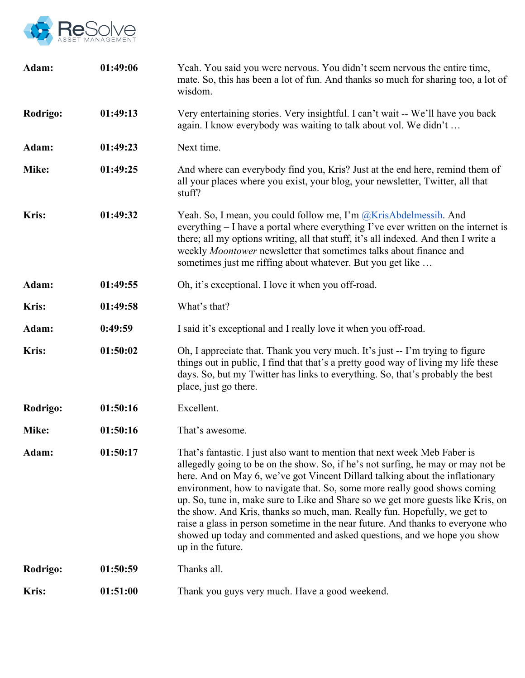

| Adam:        | 01:49:06 | Yeah. You said you were nervous. You didn't seem nervous the entire time,<br>mate. So, this has been a lot of fun. And thanks so much for sharing too, a lot of<br>wisdom.                                                                                                                                                                                                                                                                                                                                                                                                                                                                                                     |  |
|--------------|----------|--------------------------------------------------------------------------------------------------------------------------------------------------------------------------------------------------------------------------------------------------------------------------------------------------------------------------------------------------------------------------------------------------------------------------------------------------------------------------------------------------------------------------------------------------------------------------------------------------------------------------------------------------------------------------------|--|
| Rodrigo:     | 01:49:13 | Very entertaining stories. Very insightful. I can't wait -- We'll have you back<br>again. I know everybody was waiting to talk about vol. We didn't                                                                                                                                                                                                                                                                                                                                                                                                                                                                                                                            |  |
| Adam:        | 01:49:23 | Next time.                                                                                                                                                                                                                                                                                                                                                                                                                                                                                                                                                                                                                                                                     |  |
| Mike:        | 01:49:25 | And where can everybody find you, Kris? Just at the end here, remind them of<br>all your places where you exist, your blog, your newsletter, Twitter, all that<br>stuff?                                                                                                                                                                                                                                                                                                                                                                                                                                                                                                       |  |
| Kris:        | 01:49:32 | Yeah. So, I mean, you could follow me, I'm @KrisAbdelmessih. And<br>everything – I have a portal where everything I've ever written on the internet is<br>there; all my options writing, all that stuff, it's all indexed. And then I write a<br>weekly Moontower newsletter that sometimes talks about finance and<br>sometimes just me riffing about whatever. But you get like                                                                                                                                                                                                                                                                                              |  |
| Adam:        | 01:49:55 | Oh, it's exceptional. I love it when you off-road.                                                                                                                                                                                                                                                                                                                                                                                                                                                                                                                                                                                                                             |  |
| Kris:        | 01:49:58 | What's that?                                                                                                                                                                                                                                                                                                                                                                                                                                                                                                                                                                                                                                                                   |  |
| Adam:        | 0:49:59  | I said it's exceptional and I really love it when you off-road.                                                                                                                                                                                                                                                                                                                                                                                                                                                                                                                                                                                                                |  |
| Kris:        | 01:50:02 | Oh, I appreciate that. Thank you very much. It's just -- I'm trying to figure<br>things out in public, I find that that's a pretty good way of living my life these<br>days. So, but my Twitter has links to everything. So, that's probably the best<br>place, just go there.                                                                                                                                                                                                                                                                                                                                                                                                 |  |
| Rodrigo:     | 01:50:16 | Excellent.                                                                                                                                                                                                                                                                                                                                                                                                                                                                                                                                                                                                                                                                     |  |
| Mike:        | 01:50:16 | That's awesome.                                                                                                                                                                                                                                                                                                                                                                                                                                                                                                                                                                                                                                                                |  |
| Adam:        | 01:50:17 | That's fantastic. I just also want to mention that next week Meb Faber is<br>allegedly going to be on the show. So, if he's not surfing, he may or may not be<br>here. And on May 6, we've got Vincent Dillard talking about the inflationary<br>environment, how to navigate that. So, some more really good shows coming<br>up. So, tune in, make sure to Like and Share so we get more guests like Kris, on<br>the show. And Kris, thanks so much, man. Really fun. Hopefully, we get to<br>raise a glass in person sometime in the near future. And thanks to everyone who<br>showed up today and commented and asked questions, and we hope you show<br>up in the future. |  |
| Rodrigo:     | 01:50:59 | Thanks all.                                                                                                                                                                                                                                                                                                                                                                                                                                                                                                                                                                                                                                                                    |  |
| <b>Kris:</b> | 01:51:00 | Thank you guys very much. Have a good weekend.                                                                                                                                                                                                                                                                                                                                                                                                                                                                                                                                                                                                                                 |  |